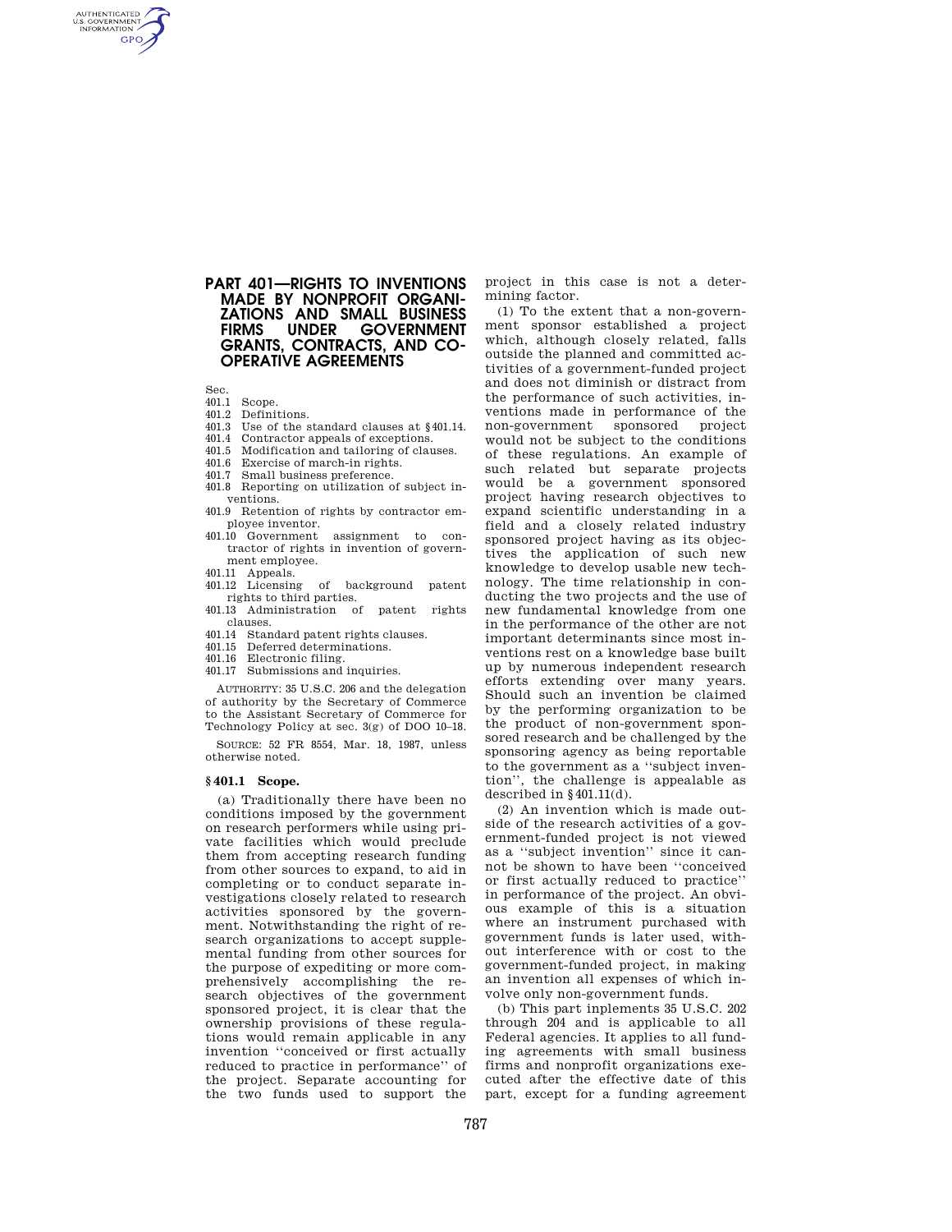# **PART 401—RIGHTS TO INVENTIONS MADE BY NONPROFIT ORGANI-ZATIONS AND SMALL BUSINESS GOVERNMENT GRANTS, CONTRACTS, AND CO-OPERATIVE AGREEMENTS**

Sec.<br> $401.1$ 

AUTHENTICATED<br>U.S. GOVERNMENT<br>INFORMATION **GPO** 

- Scope.
- 401.2 Definitions.<br>401.3 Use of the s
- Use of the standard clauses at §401.14.
- 401.4 Contractor appeals of exceptions.
- 401.5 Modification and tailoring of clauses.
- 401.6 Exercise of march-in rights.
- 401.7 Small business preference.
- 401.8 Reporting on utilization of subject inventions.
- 401.9 Retention of rights by contractor employee inventor.
- 401.10 Government assignment to contractor of rights in invention of government employee.
- 401.11 Appeals.
- 401.12 Licensing of background patent rights to third parties.
- 401.13 Administration of patent rights clauses.
- 401.14 Standard patent rights clauses.
- 401.15 Deferred determinations.
- 401.16 Electronic filing.
- 401.17 Submissions and inquiries.

AUTHORITY: 35 U.S.C. 206 and the delegation of authority by the Secretary of Commerce to the Assistant Secretary of Commerce for Technology Policy at sec. 3(g) of DOO 10–18.

SOURCE: 52 FR 8554, Mar. 18, 1987, unless otherwise noted.

#### **§ 401.1 Scope.**

(a) Traditionally there have been no conditions imposed by the government on research performers while using private facilities which would preclude them from accepting research funding from other sources to expand, to aid in completing or to conduct separate investigations closely related to research activities sponsored by the government. Notwithstanding the right of research organizations to accept supplemental funding from other sources for the purpose of expediting or more comprehensively accomplishing the research objectives of the government sponsored project, it is clear that the ownership provisions of these regulations would remain applicable in any invention ''conceived or first actually reduced to practice in performance'' of the project. Separate accounting for the two funds used to support the

project in this case is not a determining factor.

(1) To the extent that a non-government sponsor established a project which, although closely related, falls outside the planned and committed activities of a government-funded project and does not diminish or distract from the performance of such activities, inventions made in performance of the non-government sponsored project would not be subject to the conditions of these regulations. An example of such related but separate projects would be a government sponsored project having research objectives to expand scientific understanding in a field and a closely related industry sponsored project having as its objectives the application of such new knowledge to develop usable new technology. The time relationship in conducting the two projects and the use of new fundamental knowledge from one in the performance of the other are not important determinants since most inventions rest on a knowledge base built up by numerous independent research efforts extending over many years. Should such an invention be claimed by the performing organization to be the product of non-government sponsored research and be challenged by the sponsoring agency as being reportable to the government as a ''subject invention'', the challenge is appealable as described in  $§$  401.11(d).

(2) An invention which is made outside of the research activities of a government-funded project is not viewed as a ''subject invention'' since it cannot be shown to have been ''conceived or first actually reduced to practice'' in performance of the project. An obvious example of this is a situation where an instrument purchased with government funds is later used, without interference with or cost to the government-funded project, in making an invention all expenses of which involve only non-government funds.

(b) This part inplements 35 U.S.C. 202 through 204 and is applicable to all Federal agencies. It applies to all funding agreements with small business firms and nonprofit organizations executed after the effective date of this part, except for a funding agreement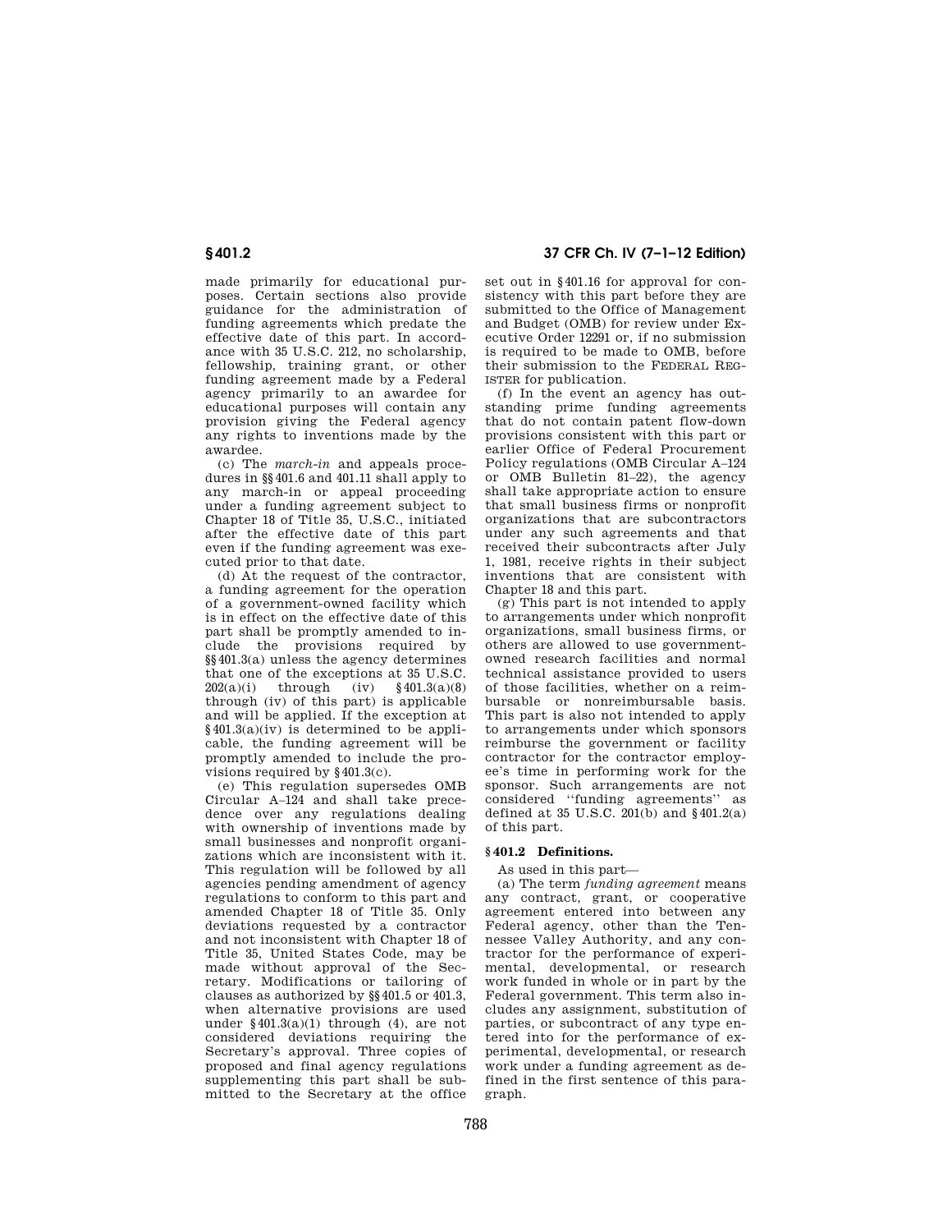# **§ 401.2 37 CFR Ch. IV (7–1–12 Edition)**

made primarily for educational purposes. Certain sections also provide guidance for the administration of funding agreements which predate the effective date of this part. In accordance with 35 U.S.C. 212, no scholarship, fellowship, training grant, or other funding agreement made by a Federal agency primarily to an awardee for educational purposes will contain any provision giving the Federal agency any rights to inventions made by the awardee.

(c) The *march-in* and appeals procedures in §§401.6 and 401.11 shall apply to any march-in or appeal proceeding under a funding agreement subject to Chapter 18 of Title 35, U.S.C., initiated after the effective date of this part even if the funding agreement was executed prior to that date.

(d) At the request of the contractor, a funding agreement for the operation of a government-owned facility which is in effect on the effective date of this part shall be promptly amended to include the provisions required by §§401.3(a) unless the agency determines that one of the exceptions at 35 U.S.C. 202(a)(i) through (iv) §401.3(a)(8) through (iv) of this part) is applicable and will be applied. If the exception at  $§401.3(a)(iv)$  is determined to be applicable, the funding agreement will be promptly amended to include the provisions required by §401.3(c).

(e) This regulation supersedes OMB Circular A–124 and shall take precedence over any regulations dealing with ownership of inventions made by small businesses and nonprofit organizations which are inconsistent with it. This regulation will be followed by all agencies pending amendment of agency regulations to conform to this part and amended Chapter 18 of Title 35. Only deviations requested by a contractor and not inconsistent with Chapter 18 of Title 35, United States Code, may be made without approval of the Secretary. Modifications or tailoring of clauses as authorized by §§401.5 or 401.3, when alternative provisions are used under  $§401.3(a)(1)$  through (4), are not considered deviations requiring the Secretary's approval. Three copies of proposed and final agency regulations supplementing this part shall be submitted to the Secretary at the office

set out in §401.16 for approval for consistency with this part before they are submitted to the Office of Management and Budget (OMB) for review under Executive Order 12291 or, if no submission is required to be made to OMB, before their submission to the FEDERAL REG-ISTER for publication.

(f) In the event an agency has outstanding prime funding agreements that do not contain patent flow-down provisions consistent with this part or earlier Office of Federal Procurement Policy regulations (OMB Circular A–124 or OMB Bulletin 81–22), the agency shall take appropriate action to ensure that small business firms or nonprofit organizations that are subcontractors under any such agreements and that received their subcontracts after July 1, 1981, receive rights in their subject inventions that are consistent with Chapter 18 and this part.

(g) This part is not intended to apply to arrangements under which nonprofit organizations, small business firms, or others are allowed to use governmentowned research facilities and normal technical assistance provided to users of those facilities, whether on a reimbursable or nonreimbursable basis. This part is also not intended to apply to arrangements under which sponsors reimburse the government or facility contractor for the contractor employee's time in performing work for the sponsor. Such arrangements are not considered ''funding agreements'' as defined at 35 U.S.C.  $201(b)$  and  $§401.2(a)$ of this part.

# **§ 401.2 Definitions.**

As used in this part—

(a) The term *funding agreement* means any contract, grant, or cooperative agreement entered into between any Federal agency, other than the Tennessee Valley Authority, and any contractor for the performance of experimental, developmental, or research work funded in whole or in part by the Federal government. This term also includes any assignment, substitution of parties, or subcontract of any type entered into for the performance of experimental, developmental, or research work under a funding agreement as defined in the first sentence of this paragraph.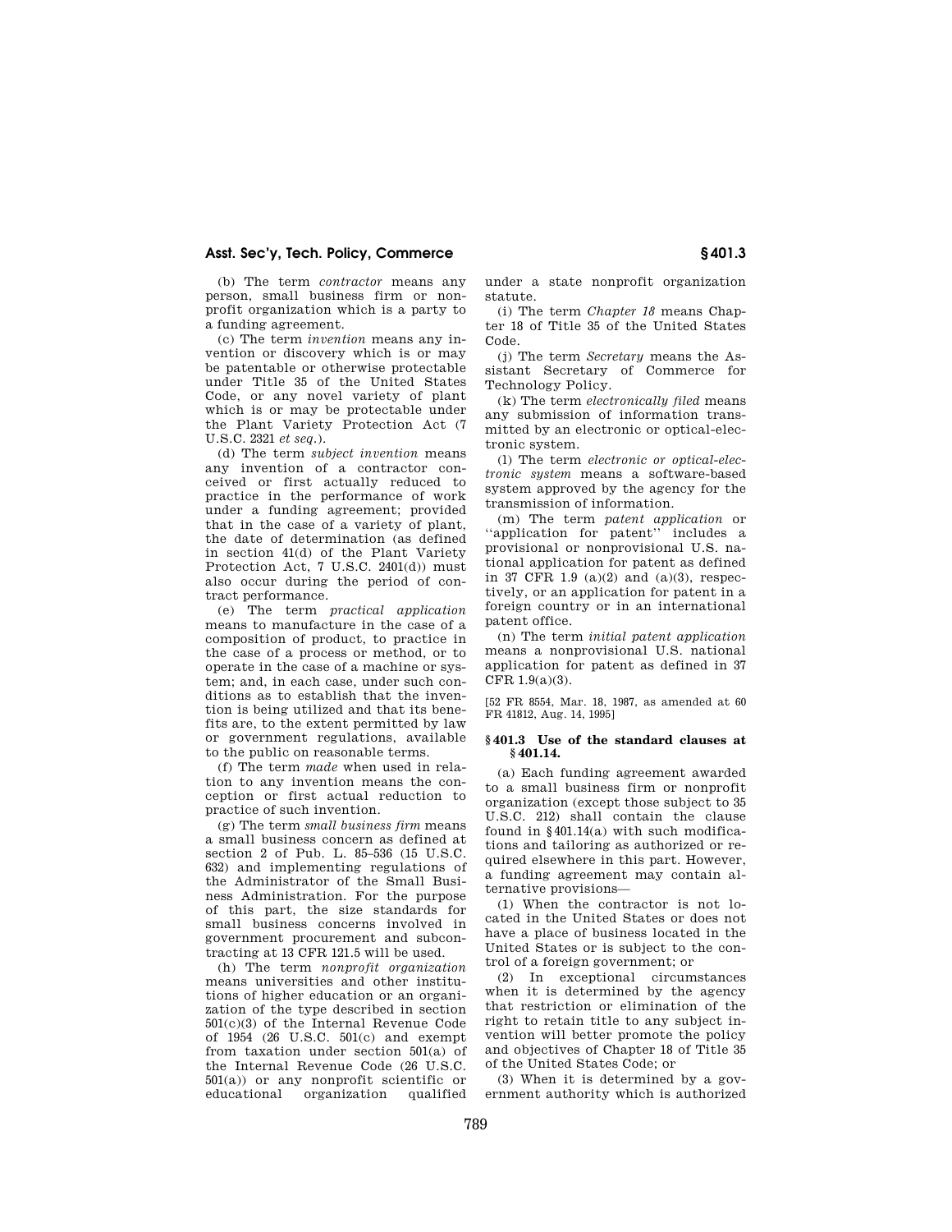(b) The term *contractor* means any person, small business firm or nonprofit organization which is a party to a funding agreement.

(c) The term *invention* means any invention or discovery which is or may be patentable or otherwise protectable under Title 35 of the United States Code, or any novel variety of plant which is or may be protectable under the Plant Variety Protection Act (7 U.S.C. 2321 *et seq.*).

(d) The term *subject invention* means any invention of a contractor conceived or first actually reduced to practice in the performance of work under a funding agreement; provided that in the case of a variety of plant, the date of determination (as defined in section 41(d) of the Plant Variety Protection Act, 7 U.S.C. 2401(d)) must also occur during the period of contract performance.

(e) The term *practical application*  means to manufacture in the case of a composition of product, to practice in the case of a process or method, or to operate in the case of a machine or system; and, in each case, under such conditions as to establish that the invention is being utilized and that its benefits are, to the extent permitted by law or government regulations, available to the public on reasonable terms.

(f) The term *made* when used in relation to any invention means the conception or first actual reduction to practice of such invention.

(g) The term *small business firm* means a small business concern as defined at section 2 of Pub. L. 85–536 (15 U.S.C. 632) and implementing regulations of the Administrator of the Small Business Administration. For the purpose of this part, the size standards for small business concerns involved in government procurement and subcontracting at 13 CFR 121.5 will be used.

(h) The term *nonprofit organization*  means universities and other institutions of higher education or an organization of the type described in section 501(c)(3) of the Internal Revenue Code of 1954 (26 U.S.C. 501(c) and exempt from taxation under section 501(a) of the Internal Revenue Code (26 U.S.C. 501(a)) or any nonprofit scientific or organization

under a state nonprofit organization statute.

(i) The term *Chapter 18* means Chapter 18 of Title 35 of the United States Code.

(j) The term *Secretary* means the Assistant Secretary of Commerce for Technology Policy.

(k) The term *electronically filed* means any submission of information transmitted by an electronic or optical-electronic system.

(l) The term *electronic or optical-electronic system* means a software-based system approved by the agency for the transmission of information.

(m) The term *patent application* or ''application for patent'' includes a provisional or nonprovisional U.S. national application for patent as defined in 37 CFR 1.9 (a)(2) and (a)(3), respectively, or an application for patent in a foreign country or in an international patent office.

(n) The term *initial patent application*  means a nonprovisional U.S. national application for patent as defined in 37 CFR  $1.9(a)(3)$ .

[52 FR 8554, Mar. 18, 1987, as amended at 60 FR 41812, Aug. 14, 1995]

### **§ 401.3 Use of the standard clauses at § 401.14.**

(a) Each funding agreement awarded to a small business firm or nonprofit organization (except those subject to 35 U.S.C. 212) shall contain the clause found in §401.14(a) with such modifications and tailoring as authorized or required elsewhere in this part. However, a funding agreement may contain alternative provisions—

(1) When the contractor is not located in the United States or does not have a place of business located in the United States or is subject to the control of a foreign government; or

(2) In exceptional circumstances when it is determined by the agency that restriction or elimination of the right to retain title to any subject invention will better promote the policy and objectives of Chapter 18 of Title 35 of the United States Code; or

(3) When it is determined by a government authority which is authorized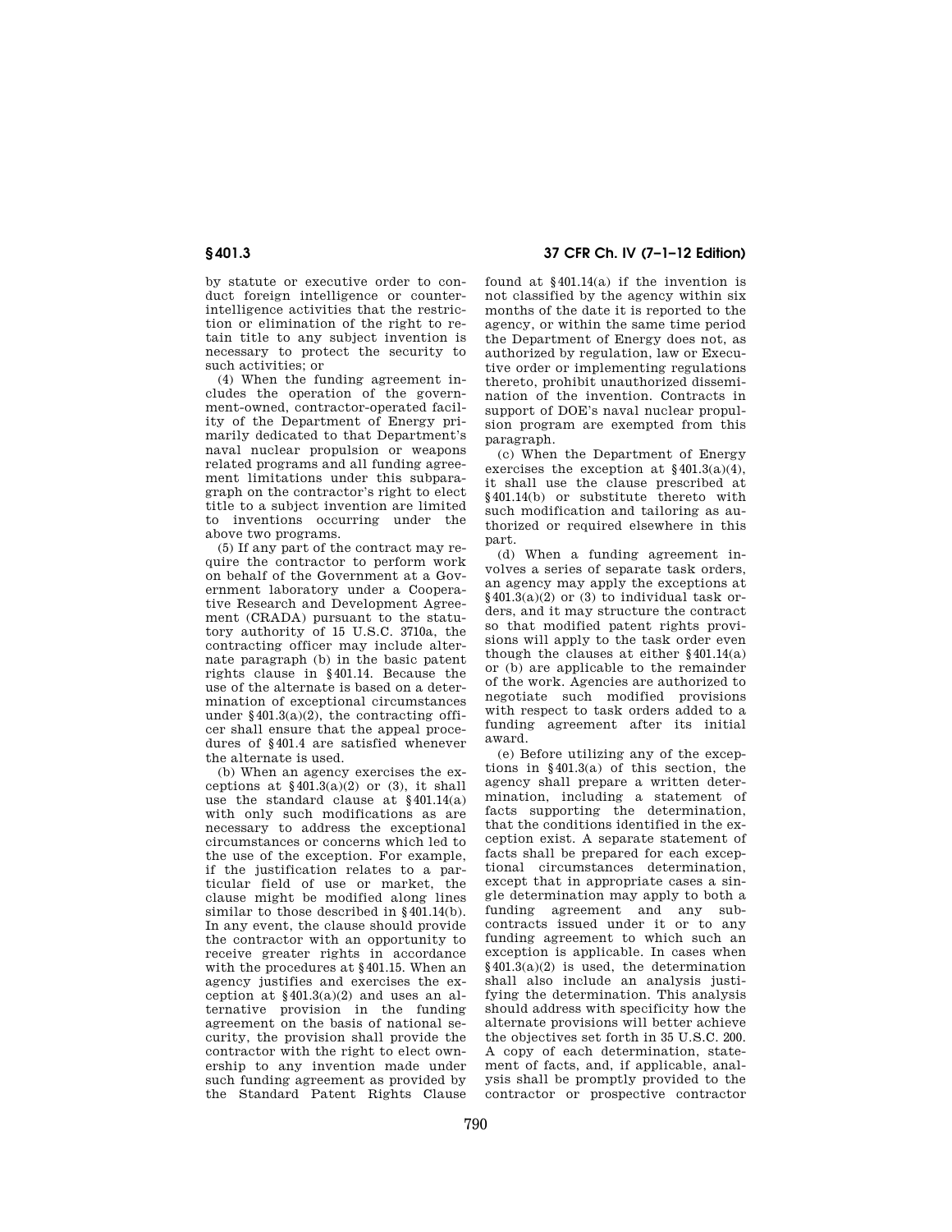by statute or executive order to conduct foreign intelligence or counterintelligence activities that the restriction or elimination of the right to retain title to any subject invention is necessary to protect the security to such activities; or

(4) When the funding agreement includes the operation of the government-owned, contractor-operated facility of the Department of Energy primarily dedicated to that Department's naval nuclear propulsion or weapons related programs and all funding agreement limitations under this subparagraph on the contractor's right to elect title to a subject invention are limited to inventions occurring under the above two programs.

(5) If any part of the contract may require the contractor to perform work on behalf of the Government at a Government laboratory under a Cooperative Research and Development Agreement (CRADA) pursuant to the statutory authority of 15 U.S.C. 3710a, the contracting officer may include alternate paragraph (b) in the basic patent rights clause in §401.14. Because the use of the alternate is based on a determination of exceptional circumstances under §401.3(a)(2), the contracting officer shall ensure that the appeal procedures of §401.4 are satisfied whenever the alternate is used.

(b) When an agency exercises the exceptions at  $\frac{$401.3(a)(2) \text{ or } (3), \text{ it shall}}{3}$ use the standard clause at §401.14(a) with only such modifications as are necessary to address the exceptional circumstances or concerns which led to the use of the exception. For example, if the justification relates to a particular field of use or market, the clause might be modified along lines similar to those described in §401.14(b). In any event, the clause should provide the contractor with an opportunity to receive greater rights in accordance with the procedures at §401.15. When an agency justifies and exercises the exception at  $§401.3(a)(2)$  and uses an alternative provision in the funding agreement on the basis of national security, the provision shall provide the contractor with the right to elect ownership to any invention made under such funding agreement as provided by the Standard Patent Rights Clause

# **§ 401.3 37 CFR Ch. IV (7–1–12 Edition)**

found at §401.14(a) if the invention is not classified by the agency within six months of the date it is reported to the agency, or within the same time period the Department of Energy does not, as authorized by regulation, law or Executive order or implementing regulations thereto, prohibit unauthorized dissemination of the invention. Contracts in support of DOE's naval nuclear propulsion program are exempted from this paragraph.

(c) When the Department of Energy exercises the exception at  $§401.3(a)(4),$ it shall use the clause prescribed at §401.14(b) or substitute thereto with such modification and tailoring as authorized or required elsewhere in this part.

(d) When a funding agreement involves a series of separate task orders, an agency may apply the exceptions at  $§401.3(a)(2)$  or (3) to individual task orders, and it may structure the contract so that modified patent rights provisions will apply to the task order even though the clauses at either §401.14(a) or (b) are applicable to the remainder of the work. Agencies are authorized to negotiate such modified provisions with respect to task orders added to a funding agreement after its initial award.

(e) Before utilizing any of the exceptions in §401.3(a) of this section, the agency shall prepare a written determination, including a statement of facts supporting the determination, that the conditions identified in the exception exist. A separate statement of facts shall be prepared for each exceptional circumstances determination, except that in appropriate cases a single determination may apply to both a funding agreement and any subcontracts issued under it or to any funding agreement to which such an exception is applicable. In cases when  $§401.3(a)(2)$  is used, the determination shall also include an analysis justifying the determination. This analysis should address with specificity how the alternate provisions will better achieve the objectives set forth in 35 U.S.C. 200. A copy of each determination, statement of facts, and, if applicable, analysis shall be promptly provided to the contractor or prospective contractor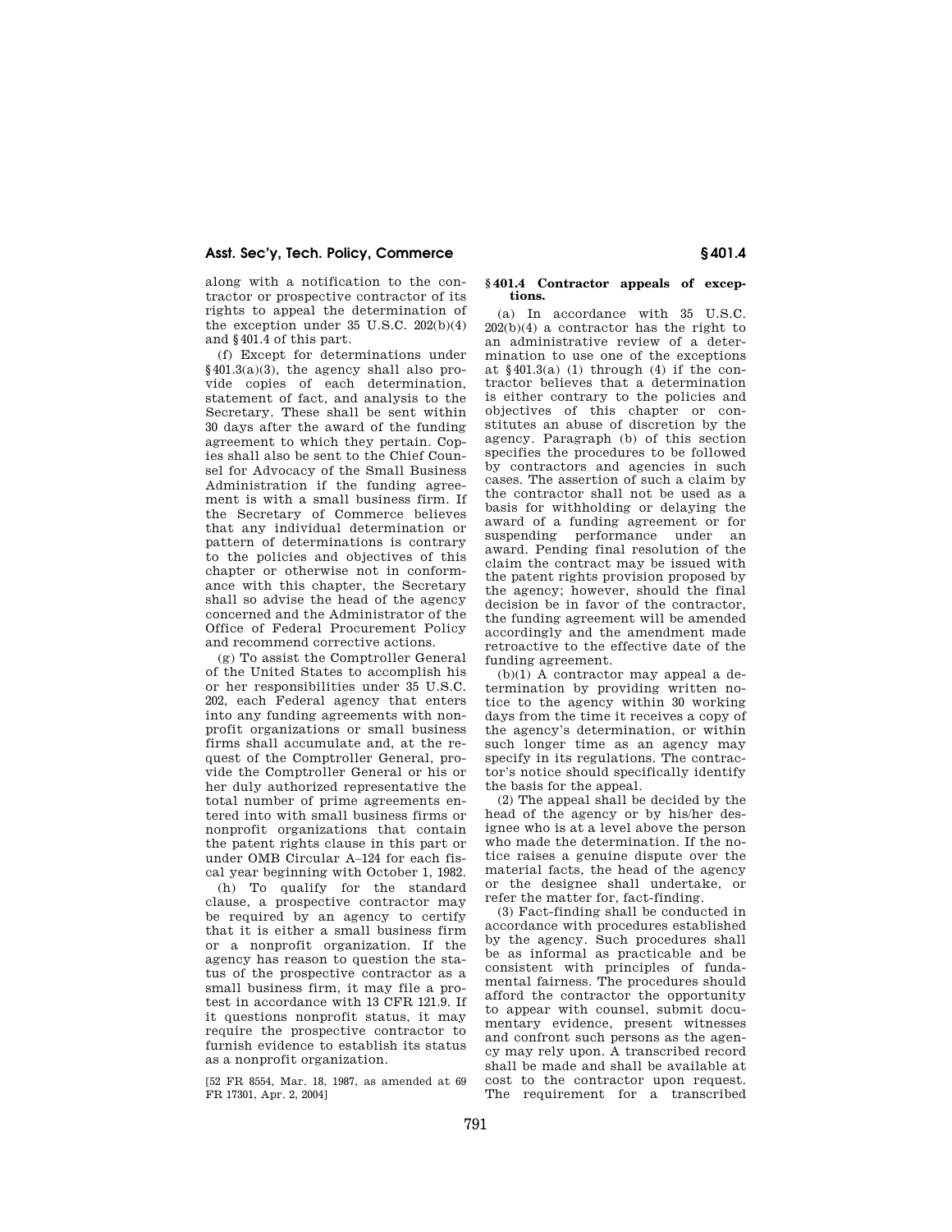along with a notification to the contractor or prospective contractor of its rights to appeal the determination of the exception under 35 U.S.C. 202(b)(4) and §401.4 of this part.

(f) Except for determinations under §401.3(a)(3), the agency shall also provide copies of each determination, statement of fact, and analysis to the Secretary. These shall be sent within 30 days after the award of the funding agreement to which they pertain. Copies shall also be sent to the Chief Counsel for Advocacy of the Small Business Administration if the funding agreement is with a small business firm. If the Secretary of Commerce believes that any individual determination or pattern of determinations is contrary to the policies and objectives of this chapter or otherwise not in conformance with this chapter, the Secretary shall so advise the head of the agency concerned and the Administrator of the Office of Federal Procurement Policy and recommend corrective actions.

(g) To assist the Comptroller General of the United States to accomplish his or her responsibilities under 35 U.S.C. 202, each Federal agency that enters into any funding agreements with nonprofit organizations or small business firms shall accumulate and, at the request of the Comptroller General, provide the Comptroller General or his or her duly authorized representative the total number of prime agreements entered into with small business firms or nonprofit organizations that contain the patent rights clause in this part or under OMB Circular A–124 for each fiscal year beginning with October 1, 1982.

(h) To qualify for the standard clause, a prospective contractor may be required by an agency to certify that it is either a small business firm or a nonprofit organization. If the agency has reason to question the status of the prospective contractor as a small business firm, it may file a protest in accordance with 13 CFR 121.9. If it questions nonprofit status, it may require the prospective contractor to furnish evidence to establish its status as a nonprofit organization.

[52 FR 8554, Mar. 18, 1987, as amended at 69 FR 17301, Apr. 2, 2004]

### **§ 401.4 Contractor appeals of exceptions.**

(a) In accordance with 35 U.S.C. 202(b)(4) a contractor has the right to an administrative review of a determination to use one of the exceptions at  $§401.3(a)$  (1) through (4) if the contractor believes that a determination is either contrary to the policies and objectives of this chapter or constitutes an abuse of discretion by the agency. Paragraph (b) of this section specifies the procedures to be followed by contractors and agencies in such cases. The assertion of such a claim by the contractor shall not be used as a basis for withholding or delaying the award of a funding agreement or for suspending performance under an award. Pending final resolution of the claim the contract may be issued with the patent rights provision proposed by the agency; however, should the final decision be in favor of the contractor, the funding agreement will be amended accordingly and the amendment made retroactive to the effective date of the funding agreement.

(b)(1) A contractor may appeal a determination by providing written notice to the agency within 30 working days from the time it receives a copy of the agency's determination, or within such longer time as an agency may specify in its regulations. The contractor's notice should specifically identify the basis for the appeal.

(2) The appeal shall be decided by the head of the agency or by his/her designee who is at a level above the person who made the determination. If the notice raises a genuine dispute over the material facts, the head of the agency or the designee shall undertake, or refer the matter for, fact-finding.

(3) Fact-finding shall be conducted in accordance with procedures established by the agency. Such procedures shall be as informal as practicable and be consistent with principles of fundamental fairness. The procedures should afford the contractor the opportunity to appear with counsel, submit documentary evidence, present witnesses and confront such persons as the agency may rely upon. A transcribed record shall be made and shall be available at cost to the contractor upon request. The requirement for a transcribed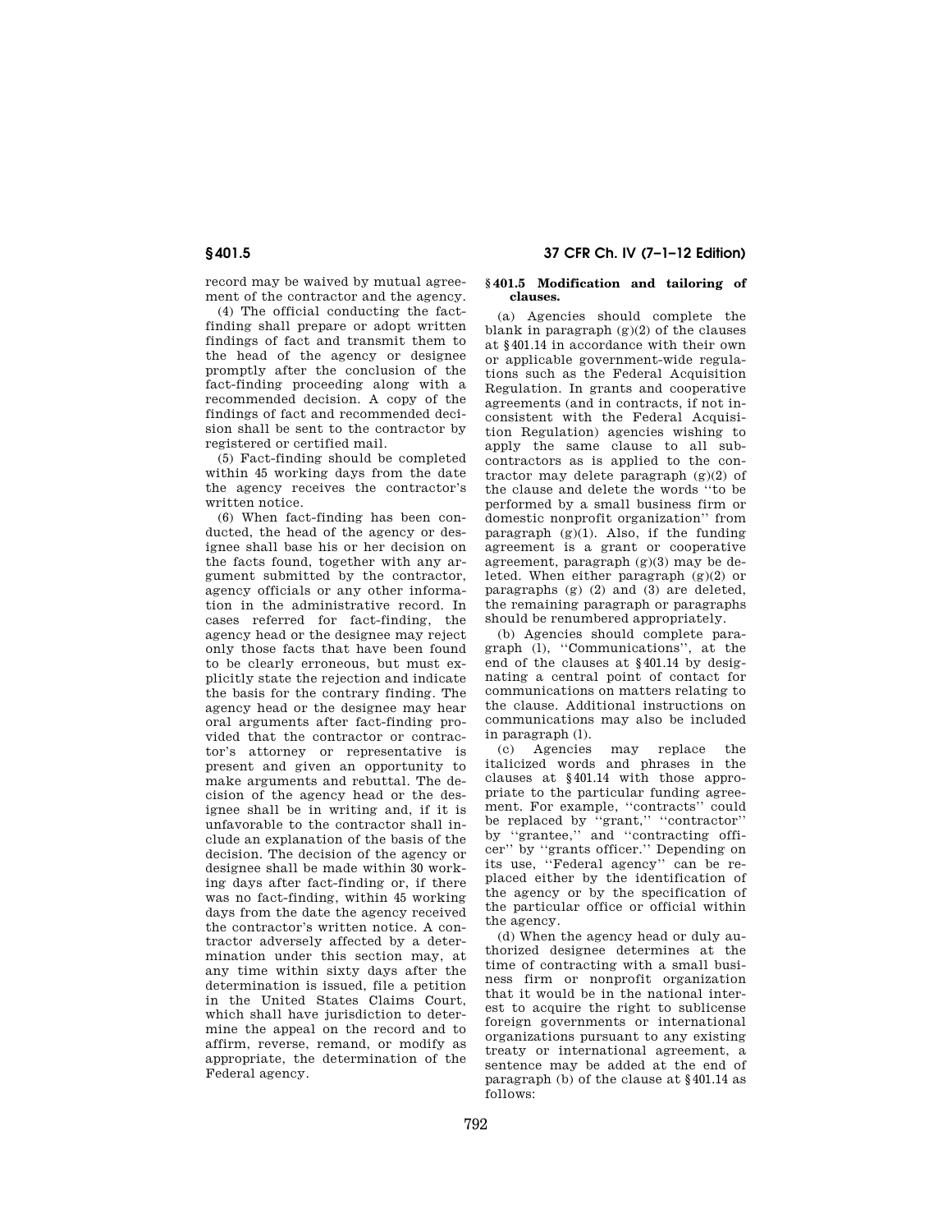record may be waived by mutual agreement of the contractor and the agency.

(4) The official conducting the factfinding shall prepare or adopt written findings of fact and transmit them to the head of the agency or designee promptly after the conclusion of the fact-finding proceeding along with a recommended decision. A copy of the findings of fact and recommended decision shall be sent to the contractor by registered or certified mail.

(5) Fact-finding should be completed within 45 working days from the date the agency receives the contractor's written notice.

(6) When fact-finding has been conducted, the head of the agency or designee shall base his or her decision on the facts found, together with any argument submitted by the contractor, agency officials or any other information in the administrative record. In cases referred for fact-finding, the agency head or the designee may reject only those facts that have been found to be clearly erroneous, but must explicitly state the rejection and indicate the basis for the contrary finding. The agency head or the designee may hear oral arguments after fact-finding provided that the contractor or contractor's attorney or representative is present and given an opportunity to make arguments and rebuttal. The decision of the agency head or the designee shall be in writing and, if it is unfavorable to the contractor shall include an explanation of the basis of the decision. The decision of the agency or designee shall be made within 30 working days after fact-finding or, if there was no fact-finding, within 45 working days from the date the agency received the contractor's written notice. A contractor adversely affected by a determination under this section may, at any time within sixty days after the determination is issued, file a petition in the United States Claims Court, which shall have jurisdiction to determine the appeal on the record and to affirm, reverse, remand, or modify as appropriate, the determination of the Federal agency.

### **§ 401.5 Modification and tailoring of clauses.**

(a) Agencies should complete the blank in paragraph (g)(2) of the clauses at §401.14 in accordance with their own or applicable government-wide regulations such as the Federal Acquisition Regulation. In grants and cooperative agreements (and in contracts, if not inconsistent with the Federal Acquisition Regulation) agencies wishing to apply the same clause to all subcontractors as is applied to the contractor may delete paragraph  $(g)(2)$  of the clause and delete the words ''to be performed by a small business firm or domestic nonprofit organization'' from paragraph  $(g)(1)$ . Also, if the funding agreement is a grant or cooperative agreement, paragraph (g)(3) may be deleted. When either paragraph  $(g)(2)$  or paragraphs (g) (2) and (3) are deleted, the remaining paragraph or paragraphs should be renumbered appropriately.

(b) Agencies should complete paragraph (l), ''Communications'', at the end of the clauses at §401.14 by designating a central point of contact for communications on matters relating to the clause. Additional instructions on communications may also be included in paragraph (l).

(c) Agencies may replace the italicized words and phrases in the clauses at §401.14 with those appropriate to the particular funding agreement. For example, ''contracts'' could be replaced by ''grant,'' ''contractor'' by ''grantee,'' and ''contracting officer'' by ''grants officer.'' Depending on its use, ''Federal agency'' can be replaced either by the identification of the agency or by the specification of the particular office or official within the agency.

(d) When the agency head or duly authorized designee determines at the time of contracting with a small business firm or nonprofit organization that it would be in the national interest to acquire the right to sublicense foreign governments or international organizations pursuant to any existing treaty or international agreement, a sentence may be added at the end of paragraph (b) of the clause at §401.14 as follows: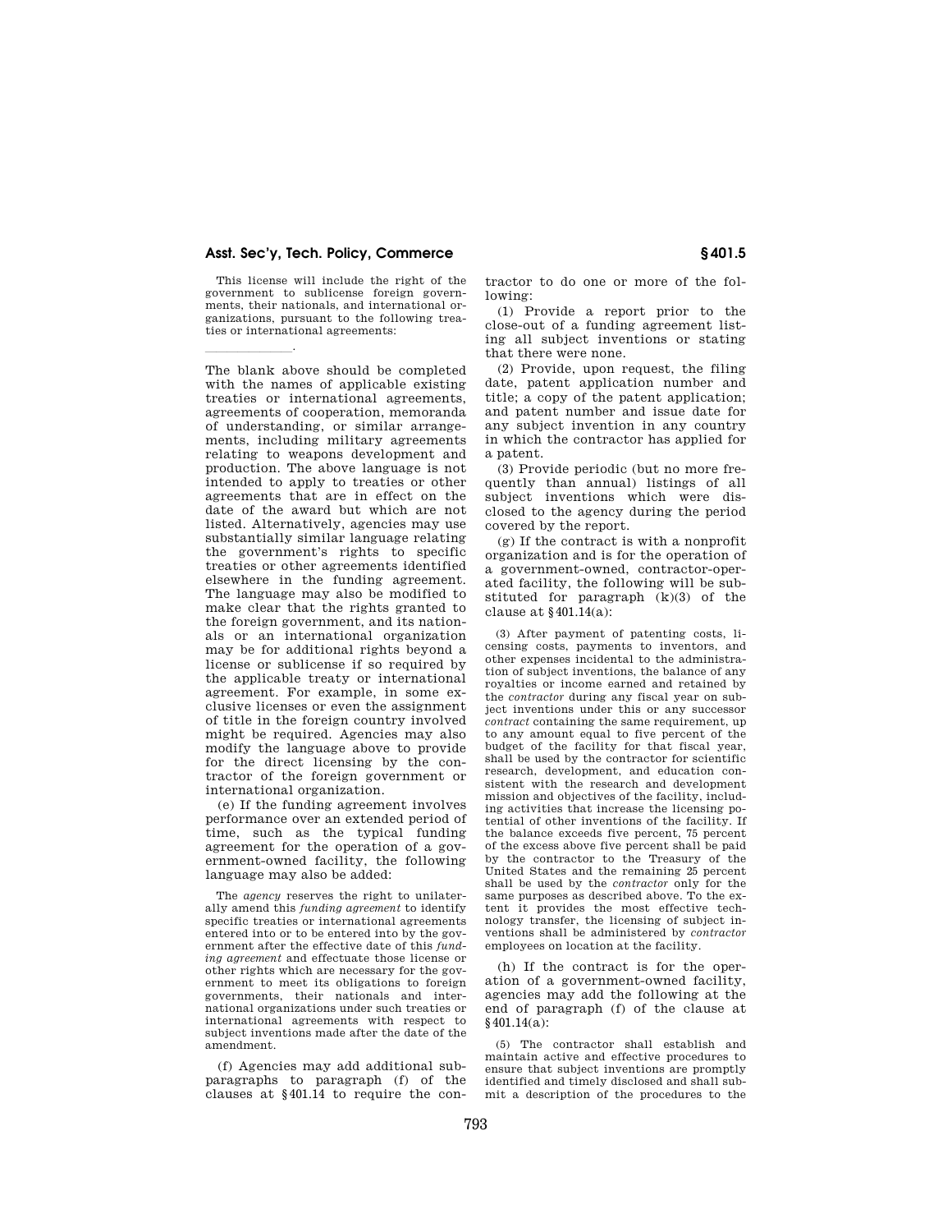This license will include the right of the government to sublicense foreign governments, their nationals, and international organizations, pursuant to the following treaties or international agreements:

 $\overline{\phantom{a}}$ 

The blank above should be completed with the names of applicable existing treaties or international agreements, agreements of cooperation, memoranda of understanding, or similar arrangements, including military agreements relating to weapons development and production. The above language is not intended to apply to treaties or other agreements that are in effect on the date of the award but which are not listed. Alternatively, agencies may use substantially similar language relating the government's rights to specific treaties or other agreements identified elsewhere in the funding agreement. The language may also be modified to make clear that the rights granted to the foreign government, and its nationals or an international organization may be for additional rights beyond a license or sublicense if so required by the applicable treaty or international agreement. For example, in some exclusive licenses or even the assignment of title in the foreign country involved might be required. Agencies may also modify the language above to provide for the direct licensing by the contractor of the foreign government or international organization.

(e) If the funding agreement involves performance over an extended period of time, such as the typical funding agreement for the operation of a government-owned facility, the following language may also be added:

The *agency* reserves the right to unilaterally amend this *funding agreement* to identify specific treaties or international agreements entered into or to be entered into by the government after the effective date of this *funding agreement* and effectuate those license or other rights which are necessary for the government to meet its obligations to foreign governments, their nationals and international organizations under such treaties or international agreements with respect to subject inventions made after the date of the amendment.

(f) Agencies may add additional subparagraphs to paragraph (f) of the clauses at §401.14 to require the contractor to do one or more of the following:

(1) Provide a report prior to the close-out of a funding agreement listing all subject inventions or stating that there were none.

(2) Provide, upon request, the filing date, patent application number and title; a copy of the patent application; and patent number and issue date for any subject invention in any country in which the contractor has applied for a patent.

(3) Provide periodic (but no more frequently than annual) listings of all subject inventions which were disclosed to the agency during the period covered by the report.

(g) If the contract is with a nonprofit organization and is for the operation of a government-owned, contractor-operated facility, the following will be substituted for paragraph (k)(3) of the clause at §401.14(a):

(3) After payment of patenting costs, licensing costs, payments to inventors, and other expenses incidental to the administration of subject inventions, the balance of any royalties or income earned and retained by the *contractor* during any fiscal year on subject inventions under this or any successor *contract* containing the same requirement, up to any amount equal to five percent of the budget of the facility for that fiscal year, shall be used by the contractor for scientific research, development, and education consistent with the research and development mission and objectives of the facility, including activities that increase the licensing potential of other inventions of the facility. If the balance exceeds five percent, 75 percent of the excess above five percent shall be paid by the contractor to the Treasury of the United States and the remaining 25 percent shall be used by the *contractor* only for the same purposes as described above. To the extent it provides the most effective technology transfer, the licensing of subject inventions shall be administered by *contractor*  employees on location at the facility.

(h) If the contract is for the operation of a government-owned facility, agencies may add the following at the end of paragraph (f) of the clause at §401.14(a):

(5) The contractor shall establish and maintain active and effective procedures to ensure that subject inventions are promptly identified and timely disclosed and shall submit a description of the procedures to the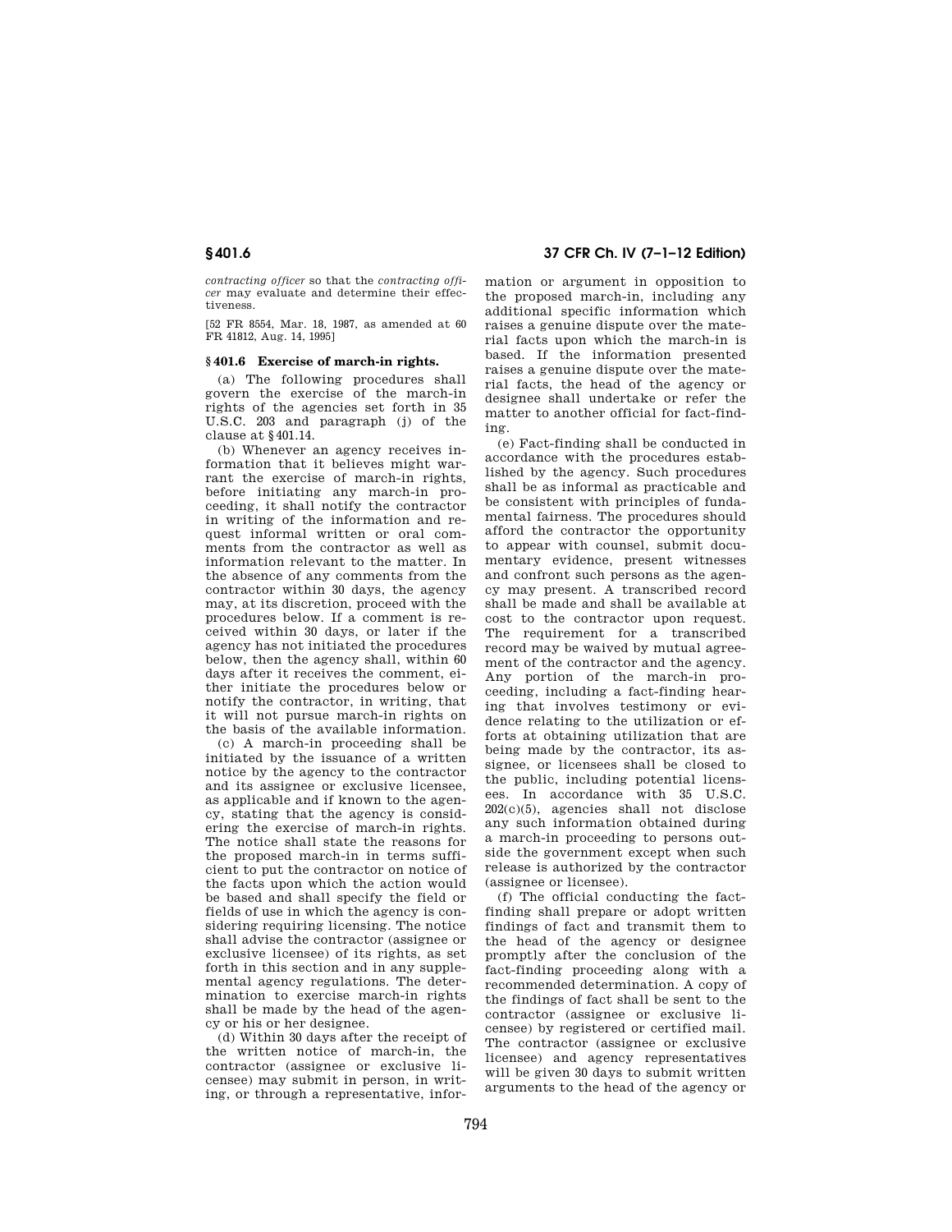*contracting officer* so that the *contracting officer* may evaluate and determine their effectiveness.

[52 FR 8554, Mar. 18, 1987, as amended at 60 FR 41812, Aug. 14, 1995]

#### **§ 401.6 Exercise of march-in rights.**

(a) The following procedures shall govern the exercise of the march-in rights of the agencies set forth in 35 U.S.C. 203 and paragraph (j) of the clause at §401.14.

(b) Whenever an agency receives information that it believes might warrant the exercise of march-in rights, before initiating any march-in proceeding, it shall notify the contractor in writing of the information and request informal written or oral comments from the contractor as well as information relevant to the matter. In the absence of any comments from the contractor within 30 days, the agency may, at its discretion, proceed with the procedures below. If a comment is received within 30 days, or later if the agency has not initiated the procedures below, then the agency shall, within 60 days after it receives the comment, either initiate the procedures below or notify the contractor, in writing, that it will not pursue march-in rights on the basis of the available information.

(c) A march-in proceeding shall be initiated by the issuance of a written notice by the agency to the contractor and its assignee or exclusive licensee as applicable and if known to the agency, stating that the agency is considering the exercise of march-in rights. The notice shall state the reasons for the proposed march-in in terms sufficient to put the contractor on notice of the facts upon which the action would be based and shall specify the field or fields of use in which the agency is considering requiring licensing. The notice shall advise the contractor (assignee or exclusive licensee) of its rights, as set forth in this section and in any supplemental agency regulations. The determination to exercise march-in rights shall be made by the head of the agency or his or her designee.

(d) Within 30 days after the receipt of the written notice of march-in, the contractor (assignee or exclusive licensee) may submit in person, in writing, or through a representative, infor-

# **§ 401.6 37 CFR Ch. IV (7–1–12 Edition)**

mation or argument in opposition to the proposed march-in, including any additional specific information which raises a genuine dispute over the material facts upon which the march-in is based. If the information presented raises a genuine dispute over the material facts, the head of the agency or designee shall undertake or refer the matter to another official for fact-finding.

(e) Fact-finding shall be conducted in accordance with the procedures established by the agency. Such procedures shall be as informal as practicable and be consistent with principles of fundamental fairness. The procedures should afford the contractor the opportunity to appear with counsel, submit documentary evidence, present witnesses and confront such persons as the agency may present. A transcribed record shall be made and shall be available at cost to the contractor upon request. The requirement for a transcribed record may be waived by mutual agreement of the contractor and the agency. Any portion of the march-in proceeding, including a fact-finding hearing that involves testimony or evidence relating to the utilization or efforts at obtaining utilization that are being made by the contractor, its assignee, or licensees shall be closed to the public, including potential licensees. In accordance with 35 U.S.C. 202(c)(5), agencies shall not disclose any such information obtained during a march-in proceeding to persons outside the government except when such release is authorized by the contractor (assignee or licensee).

(f) The official conducting the factfinding shall prepare or adopt written findings of fact and transmit them to the head of the agency or designee promptly after the conclusion of the fact-finding proceeding along with a recommended determination. A copy of the findings of fact shall be sent to the contractor (assignee or exclusive licensee) by registered or certified mail. The contractor (assignee or exclusive licensee) and agency representatives will be given 30 days to submit written arguments to the head of the agency or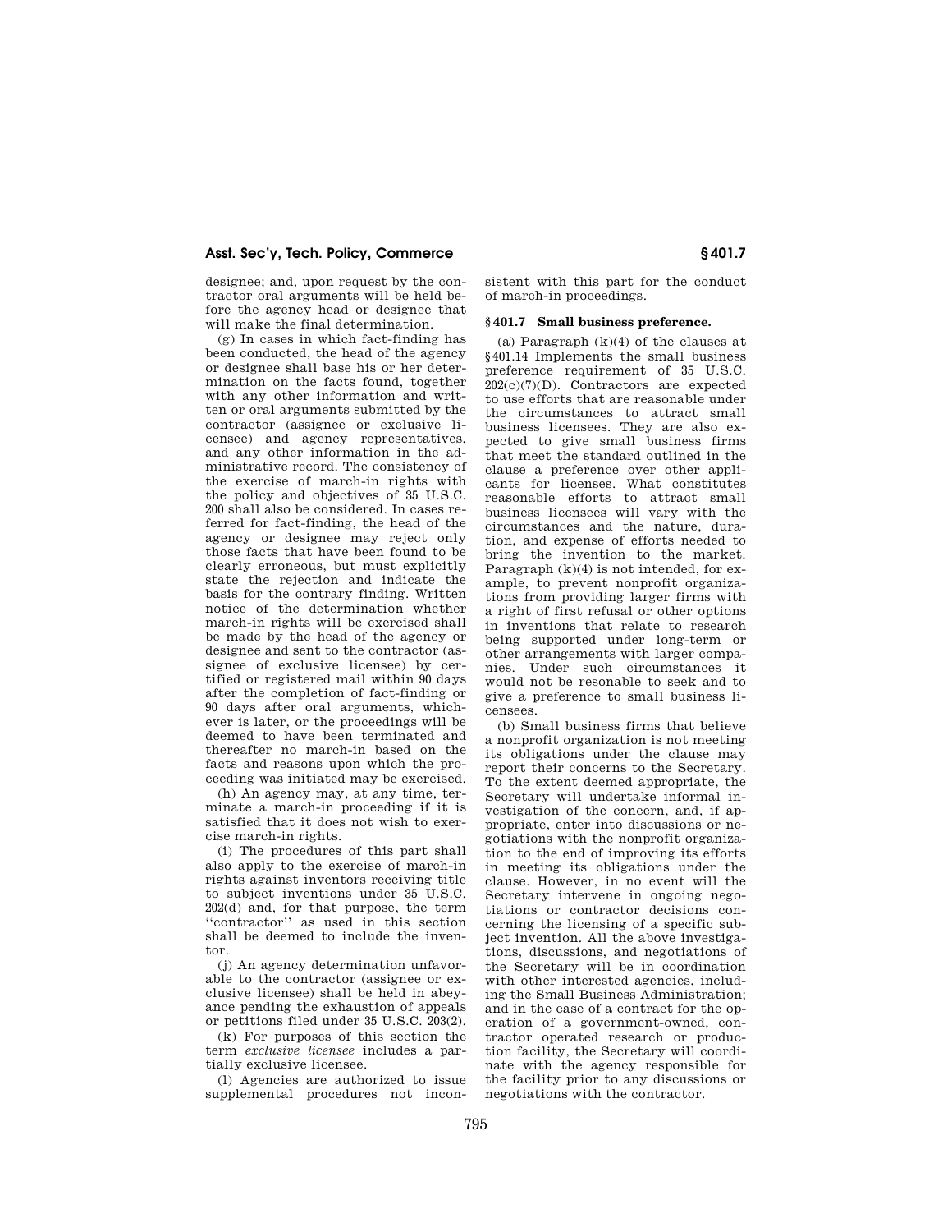designee; and, upon request by the contractor oral arguments will be held before the agency head or designee that will make the final determination.

(g) In cases in which fact-finding has been conducted, the head of the agency or designee shall base his or her determination on the facts found, together with any other information and written or oral arguments submitted by the contractor (assignee or exclusive licensee) and agency representatives, and any other information in the administrative record. The consistency of the exercise of march-in rights with the policy and objectives of 35 U.S.C. 200 shall also be considered. In cases referred for fact-finding, the head of the agency or designee may reject only those facts that have been found to be clearly erroneous, but must explicitly state the rejection and indicate the basis for the contrary finding. Written notice of the determination whether march-in rights will be exercised shall be made by the head of the agency or designee and sent to the contractor (assignee of exclusive licensee) by certified or registered mail within 90 days after the completion of fact-finding or 90 days after oral arguments, whichever is later, or the proceedings will be deemed to have been terminated and thereafter no march-in based on the facts and reasons upon which the proceeding was initiated may be exercised.

(h) An agency may, at any time, terminate a march-in proceeding if it is satisfied that it does not wish to exercise march-in rights.

(i) The procedures of this part shall also apply to the exercise of march-in rights against inventors receiving title to subject inventions under 35 U.S.C. 202(d) and, for that purpose, the term ''contractor'' as used in this section shall be deemed to include the inventor.

(j) An agency determination unfavorable to the contractor (assignee or exclusive licensee) shall be held in abeyance pending the exhaustion of appeals or petitions filed under 35 U.S.C. 203(2).

(k) For purposes of this section the term *exclusive licensee* includes a partially exclusive licensee.

(l) Agencies are authorized to issue supplemental procedures not inconsistent with this part for the conduct of march-in proceedings.

## **§ 401.7 Small business preference.**

(a) Paragraph  $(k)(4)$  of the clauses at §401.14 Implements the small business preference requirement of 35 U.S.C. 202(c)(7)(D). Contractors are expected to use efforts that are reasonable under the circumstances to attract small business licensees. They are also expected to give small business firms that meet the standard outlined in the clause a preference over other applicants for licenses. What constitutes reasonable efforts to attract small business licensees will vary with the circumstances and the nature, duration, and expense of efforts needed to bring the invention to the market. Paragraph  $(k)(4)$  is not intended, for example, to prevent nonprofit organizations from providing larger firms with a right of first refusal or other options in inventions that relate to research being supported under long-term or other arrangements with larger companies. Under such circumstances it would not be resonable to seek and to give a preference to small business licensees.

(b) Small business firms that believe a nonprofit organization is not meeting its obligations under the clause may report their concerns to the Secretary. To the extent deemed appropriate, the Secretary will undertake informal investigation of the concern, and, if appropriate, enter into discussions or negotiations with the nonprofit organization to the end of improving its efforts in meeting its obligations under the clause. However, in no event will the Secretary intervene in ongoing negotiations or contractor decisions concerning the licensing of a specific subject invention. All the above investigations, discussions, and negotiations of the Secretary will be in coordination with other interested agencies, including the Small Business Administration; and in the case of a contract for the operation of a government-owned, contractor operated research or production facility, the Secretary will coordinate with the agency responsible for the facility prior to any discussions or negotiations with the contractor.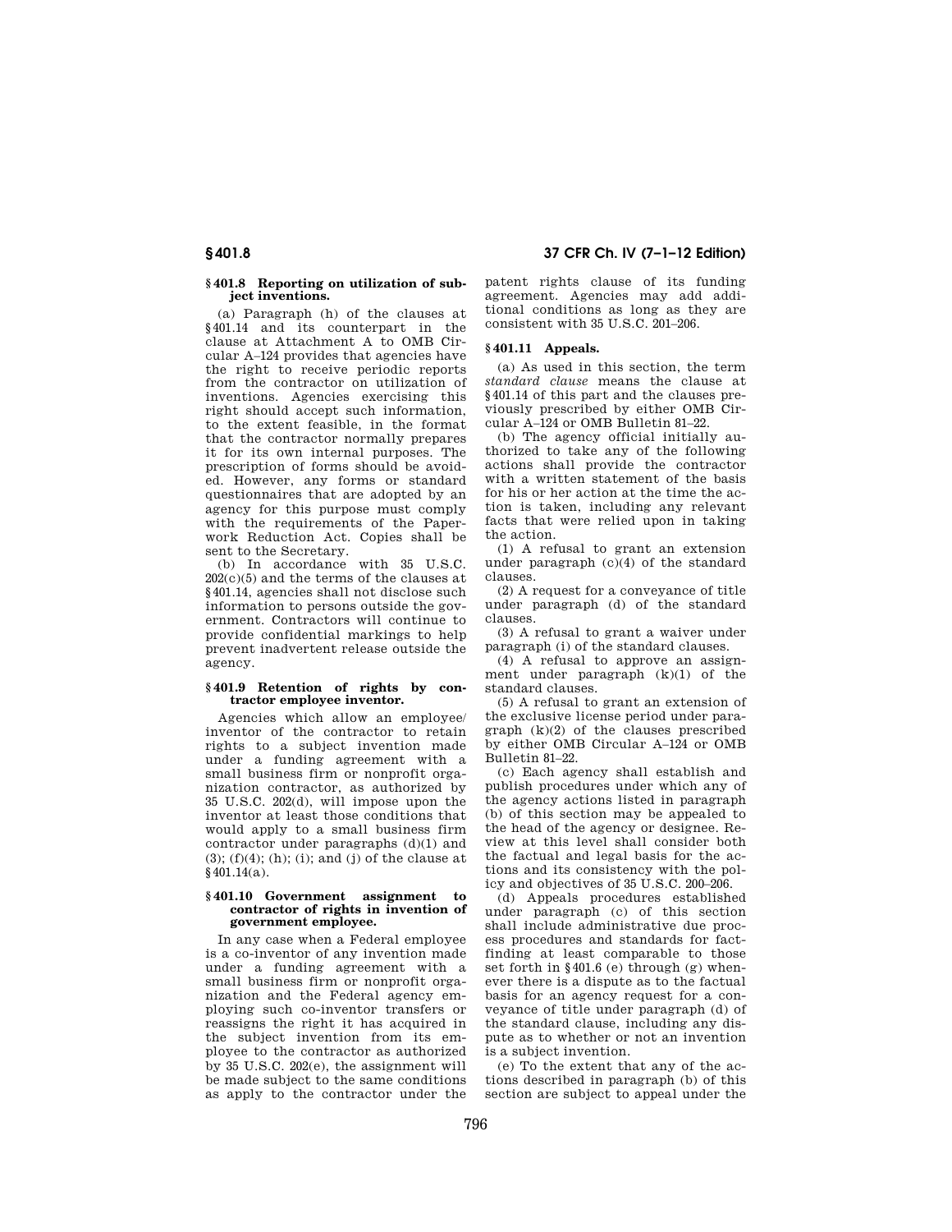### **§ 401.8 Reporting on utilization of subject inventions.**

(a) Paragraph (h) of the clauses at §401.14 and its counterpart in the clause at Attachment A to OMB Circular A–124 provides that agencies have the right to receive periodic reports from the contractor on utilization of inventions. Agencies exercising this right should accept such information, to the extent feasible, in the format that the contractor normally prepares it for its own internal purposes. The prescription of forms should be avoided. However, any forms or standard questionnaires that are adopted by an agency for this purpose must comply with the requirements of the Paperwork Reduction Act. Copies shall be sent to the Secretary.

(b) In accordance with 35 U.S.C. 202(c)(5) and the terms of the clauses at §401.14, agencies shall not disclose such information to persons outside the government. Contractors will continue to provide confidential markings to help prevent inadvertent release outside the agency.

## **§ 401.9 Retention of rights by contractor employee inventor.**

Agencies which allow an employee/ inventor of the contractor to retain rights to a subject invention made under a funding agreement with a small business firm or nonprofit organization contractor, as authorized by 35 U.S.C. 202(d), will impose upon the inventor at least those conditions that would apply to a small business firm contractor under paragraphs (d)(1) and  $(3)$ ;  $(f)(4)$ ;  $(h)$ ;  $(i)$ ; and  $(j)$  of the clause at §401.14(a).

#### **§ 401.10 Government assignment to contractor of rights in invention of government employee.**

In any case when a Federal employee is a co-inventor of any invention made under a funding agreement with a small business firm or nonprofit organization and the Federal agency employing such co-inventor transfers or reassigns the right it has acquired in the subject invention from its employee to the contractor as authorized by 35 U.S.C. 202(e), the assignment will be made subject to the same conditions as apply to the contractor under the

**§ 401.8 37 CFR Ch. IV (7–1–12 Edition)** 

patent rights clause of its funding agreement. Agencies may add additional conditions as long as they are consistent with 35 U.S.C. 201–206.

## **§ 401.11 Appeals.**

(a) As used in this section, the term *standard clause* means the clause at §401.14 of this part and the clauses previously prescribed by either OMB Circular A–124 or OMB Bulletin 81–22.

(b) The agency official initially authorized to take any of the following actions shall provide the contractor with a written statement of the basis for his or her action at the time the action is taken, including any relevant facts that were relied upon in taking the action.

(1) A refusal to grant an extension under paragraph  $(c)(4)$  of the standard clauses.

(2) A request for a conveyance of title under paragraph (d) of the standard clauses.

(3) A refusal to grant a waiver under paragraph (i) of the standard clauses.

(4) A refusal to approve an assignment under paragraph (k)(1) of the standard clauses.

(5) A refusal to grant an extension of the exclusive license period under paragraph (k)(2) of the clauses prescribed by either OMB Circular A–124 or OMB Bulletin 81–22.

(c) Each agency shall establish and publish procedures under which any of the agency actions listed in paragraph (b) of this section may be appealed to the head of the agency or designee. Review at this level shall consider both the factual and legal basis for the actions and its consistency with the policy and objectives of 35 U.S.C. 200–206.

(d) Appeals procedures established under paragraph (c) of this section shall include administrative due process procedures and standards for factfinding at least comparable to those set forth in §401.6 (e) through (g) whenever there is a dispute as to the factual basis for an agency request for a conveyance of title under paragraph (d) of the standard clause, including any dispute as to whether or not an invention is a subject invention.

(e) To the extent that any of the actions described in paragraph (b) of this section are subject to appeal under the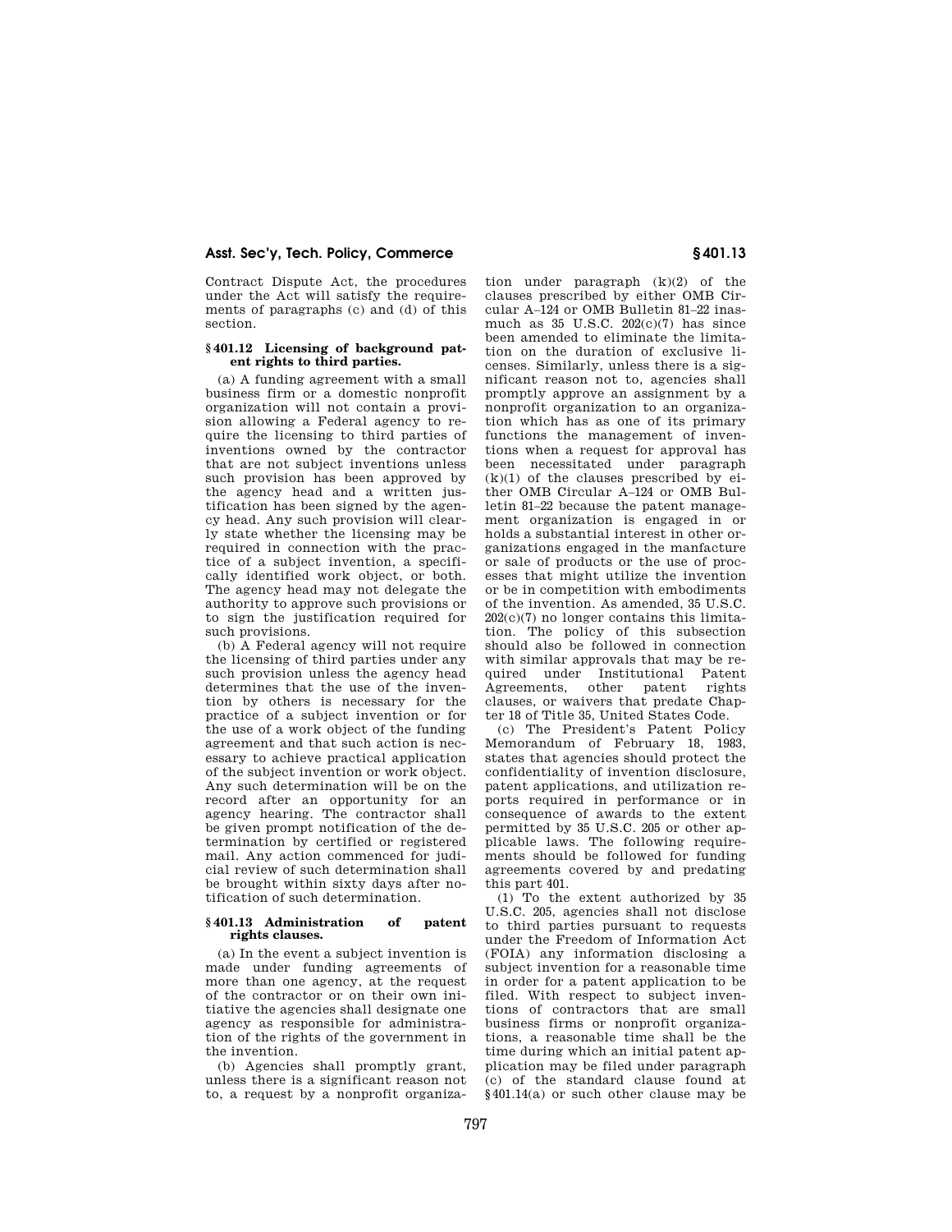Contract Dispute Act, the procedures under the Act will satisfy the requirements of paragraphs (c) and (d) of this section.

### **§ 401.12 Licensing of background patent rights to third parties.**

(a) A funding agreement with a small business firm or a domestic nonprofit organization will not contain a provision allowing a Federal agency to require the licensing to third parties of inventions owned by the contractor that are not subject inventions unless such provision has been approved by the agency head and a written justification has been signed by the agency head. Any such provision will clearly state whether the licensing may be required in connection with the practice of a subject invention, a specifically identified work object, or both. The agency head may not delegate the authority to approve such provisions or to sign the justification required for such provisions.

(b) A Federal agency will not require the licensing of third parties under any such provision unless the agency head determines that the use of the invention by others is necessary for the practice of a subject invention or for the use of a work object of the funding agreement and that such action is necessary to achieve practical application of the subject invention or work object. Any such determination will be on the record after an opportunity for an agency hearing. The contractor shall be given prompt notification of the determination by certified or registered mail. Any action commenced for judicial review of such determination shall be brought within sixty days after notification of such determination.

#### **§ 401.13 Administration of patent rights clauses.**

(a) In the event a subject invention is made under funding agreements of more than one agency, at the request of the contractor or on their own initiative the agencies shall designate one agency as responsible for administration of the rights of the government in the invention.

(b) Agencies shall promptly grant, unless there is a significant reason not to, a request by a nonprofit organiza-

tion under paragraph (k)(2) of the clauses prescribed by either OMB Circular A–124 or OMB Bulletin 81–22 inasmuch as  $35 \text{ U.S.C. } 202(c)(7)$  has since been amended to eliminate the limitation on the duration of exclusive licenses. Similarly, unless there is a significant reason not to, agencies shall promptly approve an assignment by a nonprofit organization to an organization which has as one of its primary functions the management of inventions when a request for approval has been necessitated under paragraph  $(k)(1)$  of the clauses prescribed by  $e^i$ ther OMB Circular A–124 or OMB Bulletin 81–22 because the patent management organization is engaged in or holds a substantial interest in other organizations engaged in the manfacture or sale of products or the use of processes that might utilize the invention or be in competition with embodiments of the invention. As amended, 35 U.S.C. 202(c)(7) no longer contains this limitation. The policy of this subsection should also be followed in connection with similar approvals that may be required under Institutional Patent Agreements, other patent rights clauses, or waivers that predate Chapter 18 of Title 35, United States Code.

(c) The President's Patent Policy Memorandum of February 18, 1983, states that agencies should protect the confidentiality of invention disclosure, patent applications, and utilization reports required in performance or in consequence of awards to the extent permitted by 35 U.S.C. 205 or other applicable laws. The following requirements should be followed for funding agreements covered by and predating this part 401.

(1) To the extent authorized by 35 U.S.C. 205, agencies shall not disclose to third parties pursuant to requests under the Freedom of Information Act (FOIA) any information disclosing a subject invention for a reasonable time in order for a patent application to be filed. With respect to subject inventions of contractors that are small business firms or nonprofit organizations, a reasonable time shall be the time during which an initial patent application may be filed under paragraph (c) of the standard clause found at §401.14(a) or such other clause may be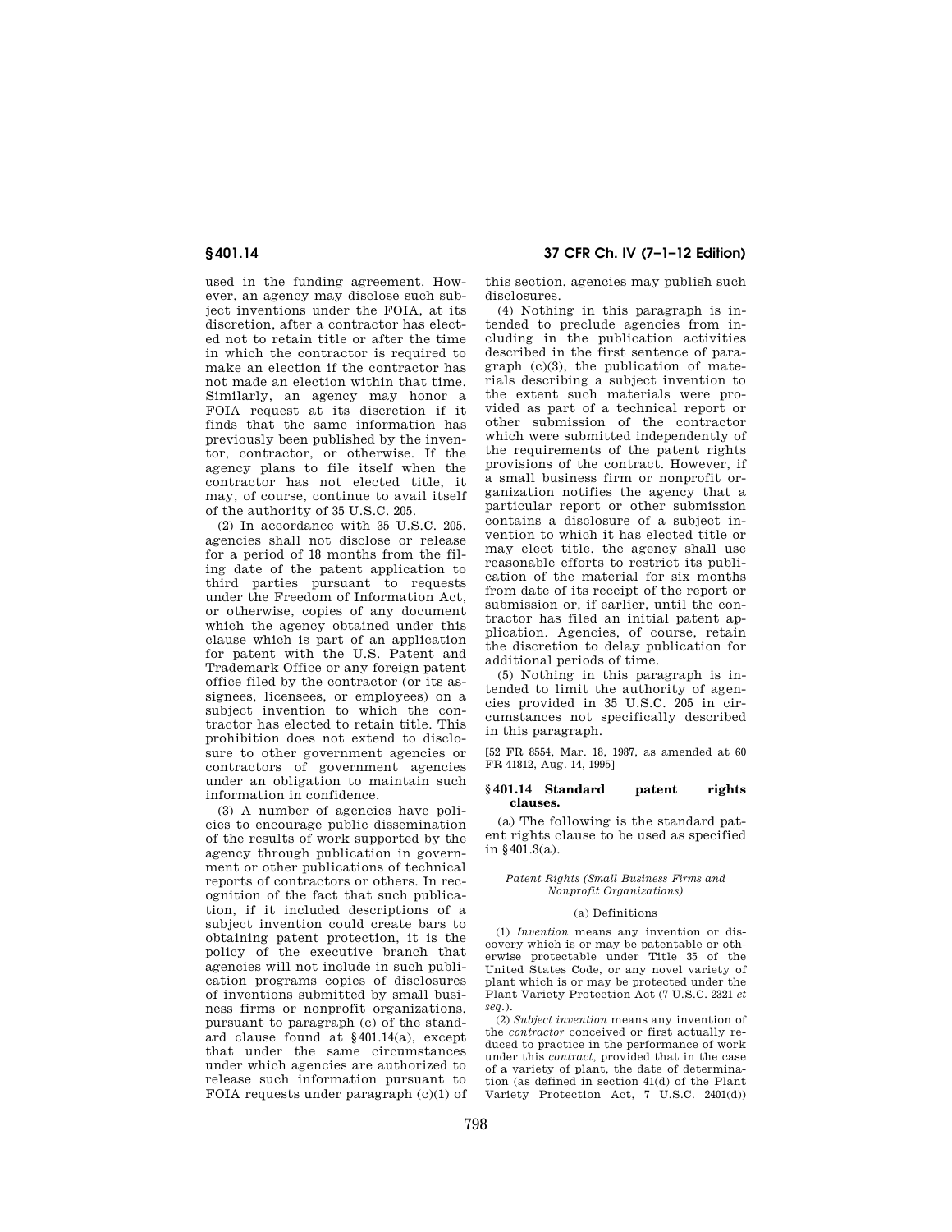used in the funding agreement. However, an agency may disclose such subject inventions under the FOIA, at its discretion, after a contractor has elected not to retain title or after the time in which the contractor is required to make an election if the contractor has not made an election within that time. Similarly, an agency may honor a FOIA request at its discretion if it finds that the same information has previously been published by the inventor, contractor, or otherwise. If the agency plans to file itself when the contractor has not elected title, it may, of course, continue to avail itself of the authority of 35 U.S.C. 205.

(2) In accordance with 35 U.S.C. 205, agencies shall not disclose or release for a period of 18 months from the filing date of the patent application to third parties pursuant to requests under the Freedom of Information Act, or otherwise, copies of any document which the agency obtained under this clause which is part of an application for patent with the U.S. Patent and Trademark Office or any foreign patent office filed by the contractor (or its assignees, licensees, or employees) on a subject invention to which the contractor has elected to retain title. This prohibition does not extend to disclosure to other government agencies or contractors of government agencies under an obligation to maintain such information in confidence.

(3) A number of agencies have policies to encourage public dissemination of the results of work supported by the agency through publication in government or other publications of technical reports of contractors or others. In recognition of the fact that such publication, if it included descriptions of a subject invention could create bars to obtaining patent protection, it is the policy of the executive branch that agencies will not include in such publication programs copies of disclosures of inventions submitted by small business firms or nonprofit organizations, pursuant to paragraph (c) of the standard clause found at §401.14(a), except that under the same circumstances under which agencies are authorized to release such information pursuant to FOIA requests under paragraph (c)(1) of

**§ 401.14 37 CFR Ch. IV (7–1–12 Edition)** 

this section, agencies may publish such disclosures.

(4) Nothing in this paragraph is intended to preclude agencies from including in the publication activities described in the first sentence of paragraph (c)(3), the publication of materials describing a subject invention to the extent such materials were provided as part of a technical report or other submission of the contractor which were submitted independently of the requirements of the patent rights provisions of the contract. However, if a small business firm or nonprofit organization notifies the agency that a particular report or other submission contains a disclosure of a subject invention to which it has elected title or may elect title, the agency shall use reasonable efforts to restrict its publication of the material for six months from date of its receipt of the report or submission or, if earlier, until the contractor has filed an initial patent application. Agencies, of course, retain the discretion to delay publication for additional periods of time.

 $(5)$  Nothing in this paragraph is intended to limit the authority of agencies provided in 35 U.S.C. 205 in circumstances not specifically described in this paragraph.

[52 FR 8554, Mar. 18, 1987, as amended at 60 FR 41812, Aug. 14, 1995]

#### **§ 401.14 Standard patent rights clauses.**

(a) The following is the standard patent rights clause to be used as specified in §401.3(a).

#### *Patent Rights (Small Business Firms and Nonprofit Organizations)*

#### (a) Definitions

(1) *Invention* means any invention or discovery which is or may be patentable or otherwise protectable under Title 35 of the United States Code, or any novel variety of plant which is or may be protected under the Plant Variety Protection Act (7 U.S.C. 2321 *et seq.*).

(2) *Subject invention* means any invention of the *contractor* conceived or first actually reduced to practice in the performance of work under this *contract,* provided that in the case of a variety of plant, the date of determination (as defined in section 41(d) of the Plant Variety Protection Act, 7 U.S.C. 2401(d))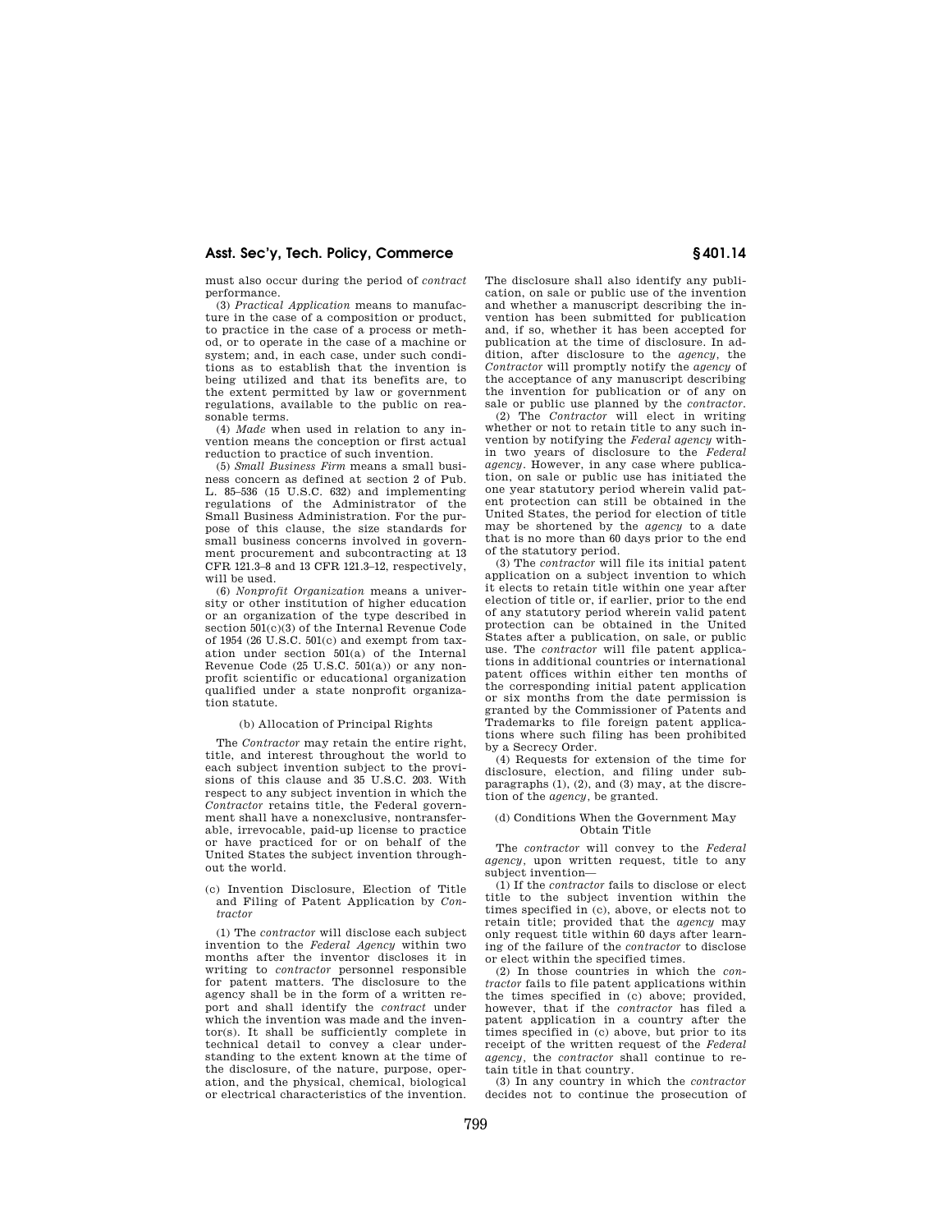must also occur during the period of *contract*  performance.

(3) *Practical Application* means to manufacture in the case of a composition or product, to practice in the case of a process or method, or to operate in the case of a machine or system; and, in each case, under such conditions as to establish that the invention is being utilized and that its benefits are, to the extent permitted by law or government regulations, available to the public on reasonable terms.

(4) *Made* when used in relation to any invention means the conception or first actual reduction to practice of such invention.

(5) *Small Business Firm* means a small business concern as defined at section 2 of Pub. L. 85–536 (15 U.S.C. 632) and implementing regulations of the Administrator of the Small Business Administration. For the purpose of this clause, the size standards for small business concerns involved in government procurement and subcontracting at 13 CFR 121.3–8 and 13 CFR 121.3–12, respectively, will be used.

(6) *Nonprofit Organization* means a university or other institution of higher education or an organization of the type described in section 501(c)(3) of the Internal Revenue Code of 1954 (26 U.S.C. 501(c) and exempt from taxation under section 501(a) of the Internal Revenue Code (25 U.S.C. 501(a)) or any nonprofit scientific or educational organization qualified under a state nonprofit organization statute.

#### (b) Allocation of Principal Rights

The *Contractor* may retain the entire right, title, and interest throughout the world to each subject invention subject to the provisions of this clause and 35 U.S.C. 203. With respect to any subject invention in which the *Contractor* retains title, the Federal government shall have a nonexclusive, nontransferable, irrevocable, paid-up license to practice or have practiced for or on behalf of the United States the subject invention throughout the world.

(c) Invention Disclosure, Election of Title and Filing of Patent Application by *Contractor* 

(1) The *contractor* will disclose each subject invention to the *Federal Agency* within two months after the inventor discloses it in writing to *contractor* personnel responsible for patent matters. The disclosure to the agency shall be in the form of a written report and shall identify the *contract* under which the invention was made and the inventor(s). It shall be sufficiently complete in technical detail to convey a clear understanding to the extent known at the time of the disclosure, of the nature, purpose, operation, and the physical, chemical, biological or electrical characteristics of the invention.

The disclosure shall also identify any publication, on sale or public use of the invention and whether a manuscript describing the invention has been submitted for publication and, if so, whether it has been accepted for publication at the time of disclosure. In addition, after disclosure to the *agency,* the *Contractor* will promptly notify the *agency* of the acceptance of any manuscript describing the invention for publication or of any on sale or public use planned by the *contractor.* 

(2) The *Contractor* will elect in writing whether or not to retain title to any such invention by notifying the *Federal agency* within two years of disclosure to the *Federal agency.* However, in any case where publication, on sale or public use has initiated the one year statutory period wherein valid patent protection can still be obtained in the United States, the period for election of title may be shortened by the *agency* to a date that is no more than 60 days prior to the end of the statutory period.

(3) The *contractor* will file its initial patent application on a subject invention to which it elects to retain title within one year after election of title or, if earlier, prior to the end of any statutory period wherein valid patent protection can be obtained in the United States after a publication, on sale, or public use. The *contractor* will file patent applications in additional countries or international patent offices within either ten months of the corresponding initial patent application or six months from the date permission is granted by the Commissioner of Patents and Trademarks to file foreign patent applications where such filing has been prohibited by a Secrecy Order.

(4) Requests for extension of the time for disclosure, election, and filing under subparagraphs (1), (2), and (3) may, at the discretion of the *agency,* be granted.

#### (d) Conditions When the Government May Obtain Title

The *contractor* will convey to the *Federal agency,* upon written request, title to any subject invention—

(1) If the *contractor* fails to disclose or elect title to the subject invention within the times specified in (c), above, or elects not to retain title; provided that the *agency* may only request title within 60 days after learning of the failure of the *contractor* to disclose or elect within the specified times.

(2) In those countries in which the *contractor* fails to file patent applications within the times specified in (c) above; provided, however, that if the *contractor* has filed a patent application in a country after the times specified in (c) above, but prior to its receipt of the written request of the *Federal agency,* the *contractor* shall continue to retain title in that country.

(3) In any country in which the *contractor*  decides not to continue the prosecution of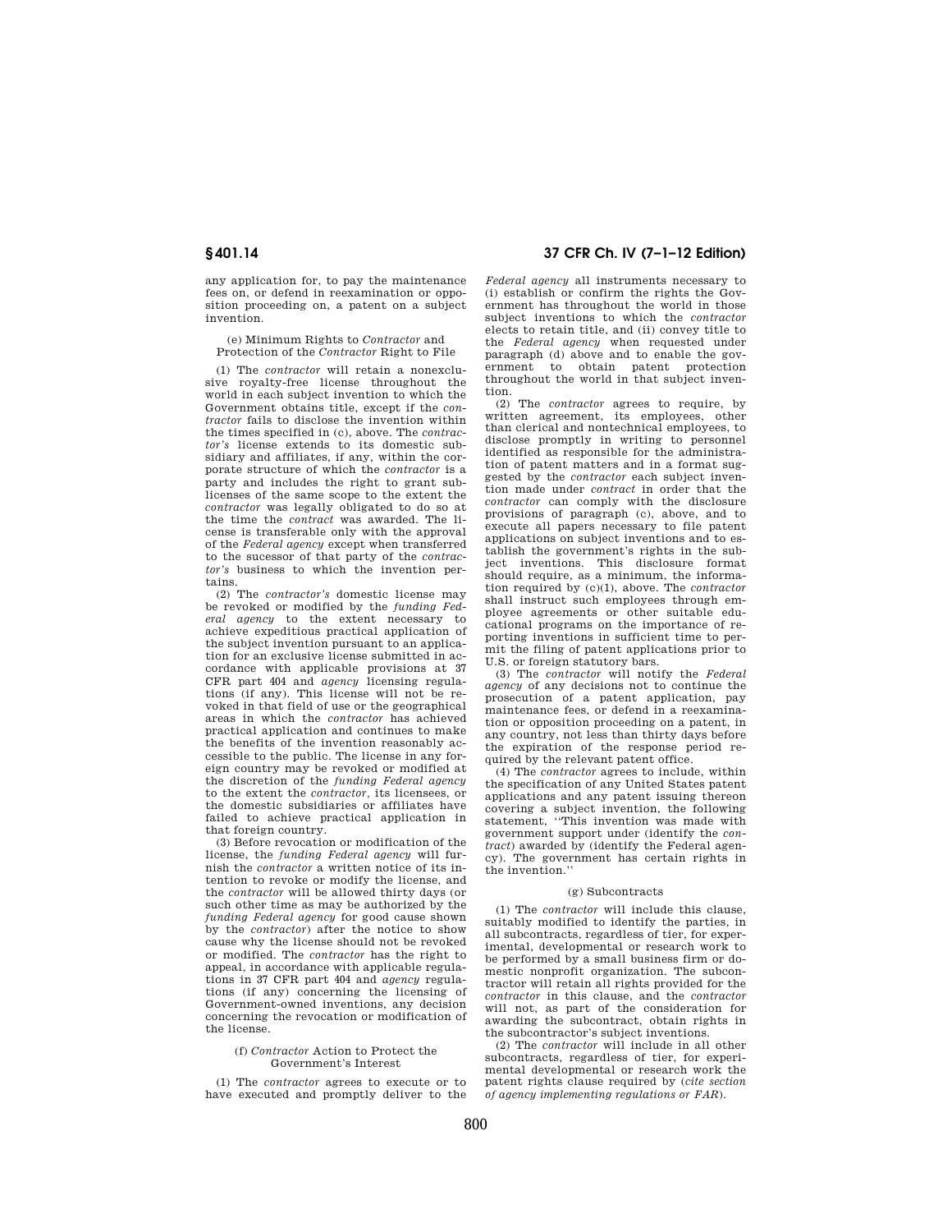any application for, to pay the maintenance fees on, or defend in reexamination or opposition proceeding on, a patent on a subject invention.

(e) Minimum Rights to *Contractor* and Protection of the *Contractor* Right to File

(1) The *contractor* will retain a nonexclusive royalty-free license throughout the world in each subject invention to which the Government obtains title, except if the *contractor* fails to disclose the invention within the times specified in (c), above. The *contractor's* license extends to its domestic subsidiary and affiliates, if any, within the corporate structure of which the *contractor* is a party and includes the right to grant sublicenses of the same scope to the extent the *contractor* was legally obligated to do so at the time the *contract* was awarded. The license is transferable only with the approval of the *Federal agency* except when transferred to the sucessor of that party of the *contractor's* business to which the invention pertains.

(2) The *contractor's* domestic license may be revoked or modified by the *funding Federal agency* to the extent necessary to achieve expeditious practical application of the subject invention pursuant to an application for an exclusive license submitted in accordance with applicable provisions at 37 CFR part 404 and *agency* licensing regulations (if any). This license will not be revoked in that field of use or the geographical areas in which the *contractor* has achieved practical application and continues to make the benefits of the invention reasonably accessible to the public. The license in any foreign country may be revoked or modified at the discretion of the *funding Federal agency*  to the extent the *contractor,* its licensees, or the domestic subsidiaries or affiliates have failed to achieve practical application in that foreign country.

(3) Before revocation or modification of the license, the *funding Federal agency* will furnish the *contractor* a written notice of its intention to revoke or modify the license, and the *contractor* will be allowed thirty days (or such other time as may be authorized by the *funding Federal agency* for good cause shown by the *contractor*) after the notice to show cause why the license should not be revoked or modified. The *contractor* has the right to appeal, in accordance with applicable regulations in 37 CFR part 404 and *agency* regulations (if any) concerning the licensing of Government-owned inventions, any decision concerning the revocation or modification of the license.

#### (f) *Contractor* Action to Protect the Government's Interest

(1) The *contractor* agrees to execute or to have executed and promptly deliver to the

# **§ 401.14 37 CFR Ch. IV (7–1–12 Edition)**

*Federal agency* all instruments necessary to (i) establish or confirm the rights the Government has throughout the world in those subject inventions to which the *contractor*  elects to retain title, and (ii) convey title to the *Federal agency* when requested under paragraph (d) above and to enable the government to obtain patent protection throughout the world in that subject invention.

(2) The *contractor* agrees to require, by written agreement, its employees, other than clerical and nontechnical employees, to disclose promptly in writing to personnel identified as responsible for the administration of patent matters and in a format suggested by the *contractor* each subject invention made under *contract* in order that the *contractor* can comply with the disclosure provisions of paragraph (c), above, and to execute all papers necessary to file patent applications on subject inventions and to establish the government's rights in the subject inventions. This disclosure format should require, as a minimum, the information required by (c)(1), above. The *contractor*  shall instruct such employees through employee agreements or other suitable educational programs on the importance of reporting inventions in sufficient time to permit the filing of patent applications prior to U.S. or foreign statutory bars.

(3) The *contractor* will notify the *Federal agency* of any decisions not to continue the prosecution of a patent application, pay maintenance fees, or defend in a reexamination or opposition proceeding on a patent, in any country, not less than thirty days before the expiration of the response period required by the relevant patent office.

(4) The *contractor* agrees to include, within the specification of any United States patent applications and any patent issuing thereon covering a subject invention, the following statement, ''This invention was made with government support under (identify the *contract*) awarded by (identify the Federal agency). The government has certain rights in the invention.''

#### (g) Subcontracts

(1) The *contractor* will include this clause, suitably modified to identify the parties, in all subcontracts, regardless of tier, for experimental, developmental or research work to be performed by a small business firm or domestic nonprofit organization. The subcontractor will retain all rights provided for the *contractor* in this clause, and the *contractor*  will not, as part of the consideration for awarding the subcontract, obtain rights in the subcontractor's subject inventions.

(2) The *contractor* will include in all other subcontracts, regardless of tier, for experimental developmental or research work the patent rights clause required by (*cite section of agency implementing regulations or FAR*).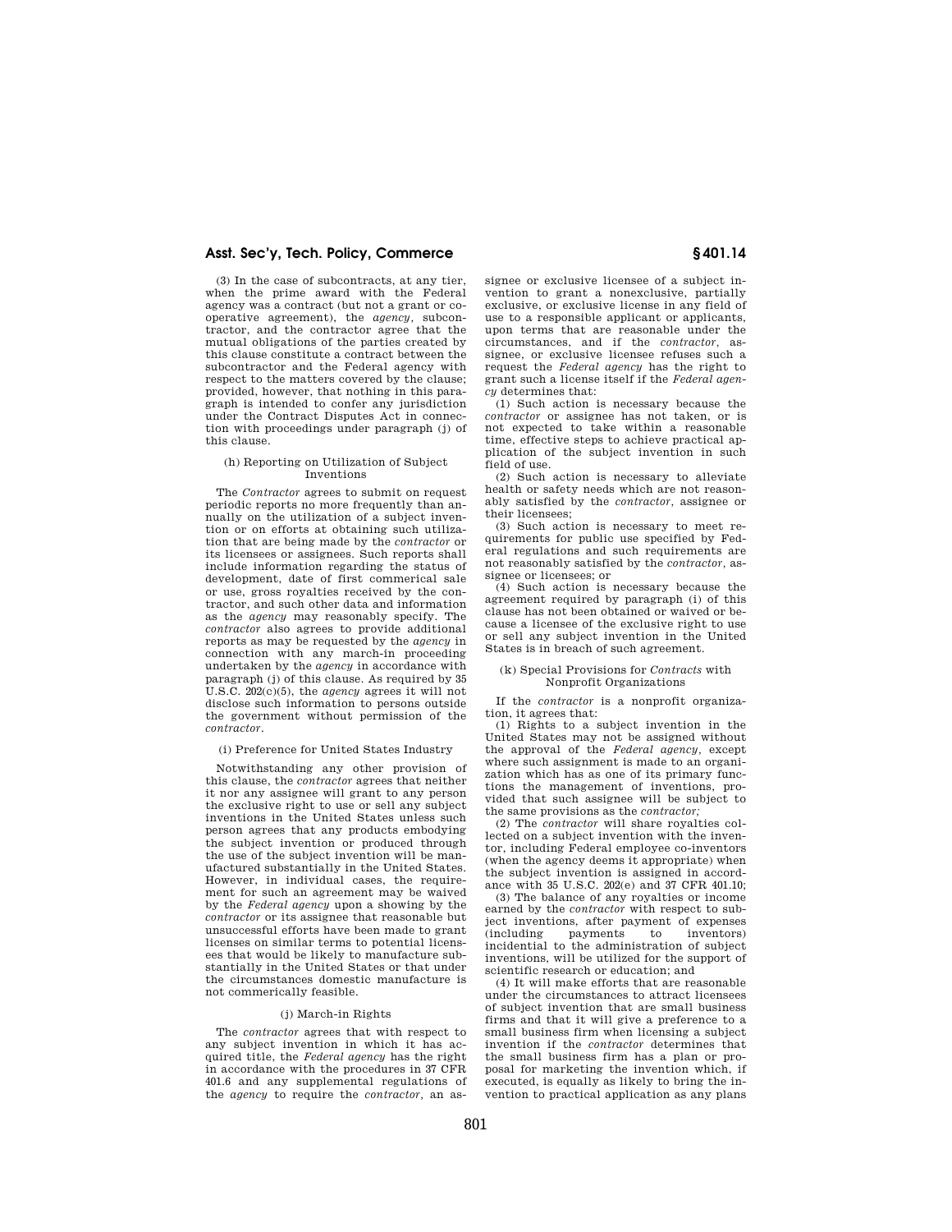(3) In the case of subcontracts, at any tier, when the prime award with the Federal agency was a contract (but not a grant or cooperative agreement), the *agency,* subcontractor, and the contractor agree that the mutual obligations of the parties created by this clause constitute a contract between the subcontractor and the Federal agency with respect to the matters covered by the clause; provided, however, that nothing in this paragraph is intended to confer any jurisdiction under the Contract Disputes Act in connection with proceedings under paragraph (j) of this clause.

## (h) Reporting on Utilization of Subject Inventions

The *Contractor* agrees to submit on request periodic reports no more frequently than annually on the utilization of a subject invention or on efforts at obtaining such utilization that are being made by the *contractor* or its licensees or assignees. Such reports shall include information regarding the status of development, date of first commerical sale or use, gross royalties received by the contractor, and such other data and information as the *agency* may reasonably specify. The *contractor* also agrees to provide additional reports as may be requested by the *agency* in connection with any march-in proceeding undertaken by the *agency* in accordance with paragraph (j) of this clause. As required by 35 U.S.C. 202(c)(5), the *agency* agrees it will not disclose such information to persons outside the government without permission of the *contractor*.

(i) Preference for United States Industry

Notwithstanding any other provision of this clause, the *contractor* agrees that neither it nor any assignee will grant to any person the exclusive right to use or sell any subject inventions in the United States unless such person agrees that any products embodying the subject invention or produced through the use of the subject invention will be manufactured substantially in the United States. However, in individual cases, the requirement for such an agreement may be waived by the *Federal agency* upon a showing by the *contractor* or its assignee that reasonable but unsuccessful efforts have been made to grant licenses on similar terms to potential licensees that would be likely to manufacture substantially in the United States or that under the circumstances domestic manufacture is not commerically feasible.

#### (j) March-in Rights

The *contractor* agrees that with respect to any subject invention in which it has acquired title, the *Federal agency* has the right in accordance with the procedures in 37 CFR 401.6 and any supplemental regulations of the *agency* to require the *contractor,* an assignee or exclusive licensee of a subject invention to grant a nonexclusive, partially exclusive, or exclusive license in any field of use to a responsible applicant or applicants, upon terms that are reasonable under the circumstances, and if the *contractor,* assignee, or exclusive licensee refuses such a request the *Federal agency* has the right to grant such a license itself if the *Federal agency* determines that:

(1) Such action is necessary because the *contractor* or assignee has not taken, or is not expected to take within a reasonable time, effective steps to achieve practical application of the subject invention in such field of use.

(2) Such action is necessary to alleviate health or safety needs which are not reasonably satisfied by the *contractor,* assignee or their licensees;

(3) Such action is necessary to meet requirements for public use specified by Federal regulations and such requirements are not reasonably satisfied by the *contractor,* assignee or licensees; or

(4) Such action is necessary because the agreement required by paragraph (i) of this clause has not been obtained or waived or because a licensee of the exclusive right to use or sell any subject invention in the United States is in breach of such agreement.

#### (k) Special Provisions for *Contracts* with Nonprofit Organizations

If the *contractor* is a nonprofit organization, it agrees that:

(1) Rights to a subject invention in the United States may not be assigned without the approval of the *Federal agency,* except where such assignment is made to an organization which has as one of its primary functions the management of inventions, provided that such assignee will be subject to the same provisions as the *contractor;* 

(2) The *contractor* will share royalties collected on a subject invention with the inventor, including Federal employee co-inventors (when the agency deems it appropriate) when the subject invention is assigned in accordance with 35 U.S.C. 202(e) and 37 CFR 401.10;

(3) The balance of any royalties or income earned by the *contractor* with respect to subject inventions, after payment of expenses (including payments to inventors) incidential to the administration of subject inventions, will be utilized for the support of scientific research or education; and

(4) It will make efforts that are reasonable under the circumstances to attract licensees of subject invention that are small business firms and that it will give a preference to a small business firm when licensing a subject invention if the *contractor* determines that the small business firm has a plan or proposal for marketing the invention which, if executed, is equally as likely to bring the invention to practical application as any plans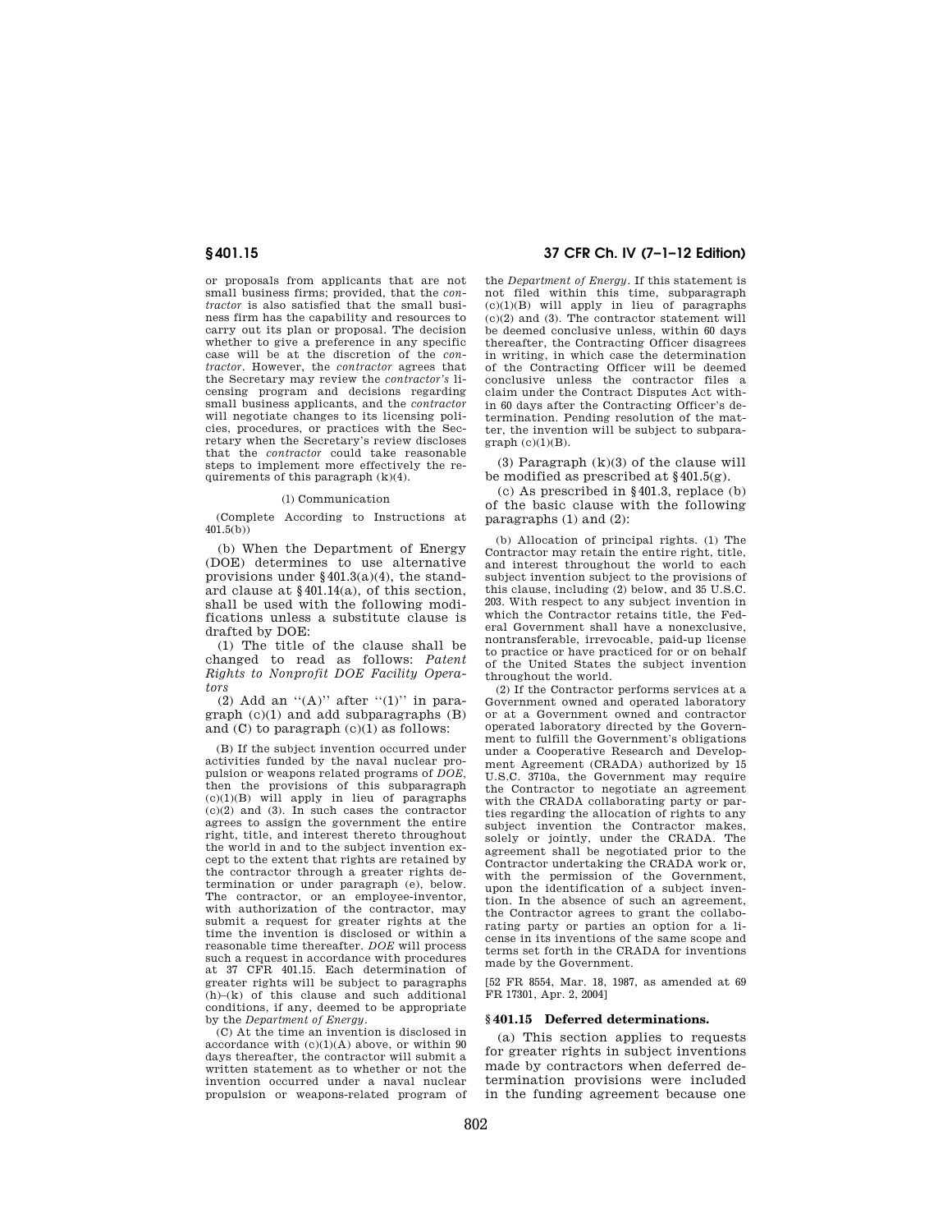or proposals from applicants that are not small business firms; provided, that the *contractor* is also satisfied that the small business firm has the capability and resources to carry out its plan or proposal. The decision whether to give a preference in any specific case will be at the discretion of the *contractor.* However, the *contractor* agrees that the Secretary may review the *contractor's* licensing program and decisions regarding small business applicants, and the *contractor*  will negotiate changes to its licensing policies, procedures, or practices with the Secretary when the Secretary's review discloses that the *contractor* could take reasonable steps to implement more effectively the requirements of this paragraph  $(k)(4)$ .

#### (l) Communication

(Complete According to Instructions at 401.5(b))

(b) When the Department of Energy (DOE) determines to use alternative provisions under §401.3(a)(4), the standard clause at §401.14(a), of this section, shall be used with the following modifications unless a substitute clause is drafted by DOE:

(1) The title of the clause shall be changed to read as follows: *Patent Rights to Nonprofit DOE Facility Operators* 

(2) Add an  $\lq (A)$ " after  $\lq (1)$ " in paragraph (c)(1) and add subparagraphs (B) and (C) to paragraph (c)(1) as follows:

(B) If the subject invention occurred under activities funded by the naval nuclear propulsion or weapons related programs of *DOE,*  then the provisions of this subparagraph (c)(1)(B) will apply in lieu of paragraphs  $(c)(2)$  and  $(3)$ . In such cases the contractor agrees to assign the government the entire right, title, and interest thereto throughout the world in and to the subject invention except to the extent that rights are retained by the contractor through a greater rights determination or under paragraph (e), below. The contractor, or an employee-inventor, with authorization of the contractor, may submit a request for greater rights at the time the invention is disclosed or within a reasonable time thereafter. *DOE* will process such a request in accordance with procedures at 37 CFR 401.15. Each determination of greater rights will be subject to paragraphs (h)–(k) of this clause and such additional conditions, if any, deemed to be appropriate by the *Department of Energy.* 

(C) At the time an invention is disclosed in accordance with  $(c)(1)(A)$  above, or within 90 days thereafter, the contractor will submit a written statement as to whether or not the invention occurred under a naval nuclear propulsion or weapons-related program of

# **§ 401.15 37 CFR Ch. IV (7–1–12 Edition)**

the *Department of Energy.* If this statement is not filed within this time, subparagraph (c)(1)(B) will apply in lieu of paragraphs (c)(2) and (3). The contractor statement will be deemed conclusive unless, within 60 days thereafter, the Contracting Officer disagrees in writing, in which case the determination of the Contracting Officer will be deemed conclusive unless the contractor files a claim under the Contract Disputes Act within 60 days after the Contracting Officer's determination. Pending resolution of the matter, the invention will be subject to subpara $graph (c)(1)(B)$ .

(3) Paragraph (k)(3) of the clause will be modified as prescribed at  $§401.5(g)$ .

(c) As prescribed in §401.3, replace (b) of the basic clause with the following paragraphs (1) and (2):

(b) Allocation of principal rights. (1) The Contractor may retain the entire right, title, and interest throughout the world to each subject invention subject to the provisions of this clause, including (2) below, and 35 U.S.C. 203. With respect to any subject invention in which the Contractor retains title, the Federal Government shall have a nonexclusive, nontransferable, irrevocable, paid-up license to practice or have practiced for or on behalf of the United States the subject invention throughout the world.

(2) If the Contractor performs services at a Government owned and operated laboratory or at a Government owned and contractor operated laboratory directed by the Government to fulfill the Government's obligations under a Cooperative Research and Development Agreement (CRADA) authorized by 15 U.S.C. 3710a, the Government may require the Contractor to negotiate an agreement with the CRADA collaborating party or parties regarding the allocation of rights to any subject invention the Contractor makes, solely or jointly, under the CRADA. The agreement shall be negotiated prior to the Contractor undertaking the CRADA work or, with the permission of the Government. upon the identification of a subject invention. In the absence of such an agreement, the Contractor agrees to grant the collaborating party or parties an option for a license in its inventions of the same scope and terms set forth in the CRADA for inventions made by the Government.

[52 FR 8554, Mar. 18, 1987, as amended at 69 FR 17301, Apr. 2, 2004]

### **§ 401.15 Deferred determinations.**

(a) This section applies to requests for greater rights in subject inventions made by contractors when deferred determination provisions were included in the funding agreement because one